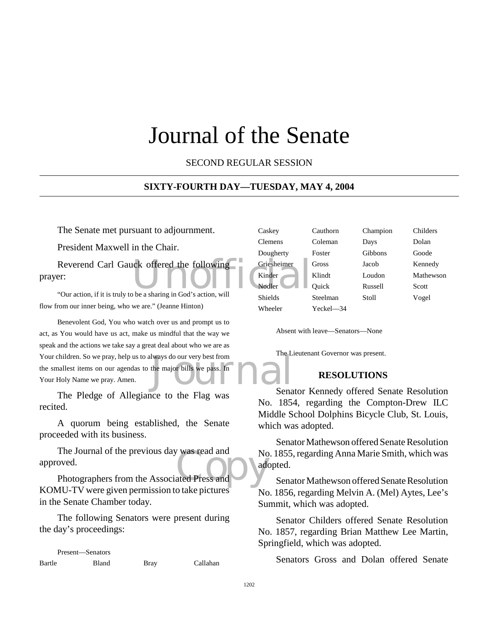### Journal of the Senate

SECOND REGULAR SESSION

#### **SIXTY-FOURTH DAY—TUESDAY, MAY 4, 2004**

The Senate met pursuant to adjournment.

President Maxwell in the Chair.

Reverend Carl Gauck offered the following<br>
Finder<br>
"Our action, if it is truly to be a sharing in God's action, will prayer:

"Our action, if it is truly to be a sharing in God's action, will flow from our inner being, who we are." (Jeanne Hinton)

lways do our very best from<br>the major bills we pass. In Benevolent God, You who watch over us and prompt us to act, as You would have us act, make us mindful that the way we speak and the actions we take say a great deal about who we are as Your children. So we pray, help us to always do our very best from the smallest items on our agendas to the major bills we pass. In Your Holy Name we pray. Amen.

The Pledge of Allegiance to the Flag was recited.

A quorum being established, the Senate proceeded with its business.

The Journal of the previous day was read and<br>
oved.<br>
Photographers from the Associated Press and The Journal of the previous day was read and approved.

KOMU-TV were given permission to take pictures in the Senate Chamber today.

The following Senators were present during the day's proceedings:

Present—Senators Bartle Bland Bray Callahan

| Caskey      | Cauthorn  | Champion | Childers  |
|-------------|-----------|----------|-----------|
| Clemens     | Coleman   | Days     | Dolan     |
| Dougherty   | Foster    | Gibbons  | Goode     |
| Griesheimer | Gross     | Jacob    | Kennedy   |
| Kinder      | Klindt    | Loudon   | Mathewson |
| Nodler      | Quick     | Russell  | Scott     |
| Shields     | Steelman  | Stoll    | Vogel     |
| Wheeler     | Yeckel-34 |          |           |
|             |           |          |           |

Absent with leave—Senators—None

The Lieutenant Governor was present.

#### **RESOLUTIONS**

Senator Kennedy offered Senate Resolution No. 1854, regarding the Compton-Drew ILC Middle School Dolphins Bicycle Club, St. Louis, which was adopted.

Senator Mathewson offered Senate Resolution No. 1855, regarding Anna Marie Smith, which was adopted.

Senator Mathewson offered Senate Resolution No. 1856, regarding Melvin A. (Mel) Aytes, Lee's Summit, which was adopted.

Senator Childers offered Senate Resolution No. 1857, regarding Brian Matthew Lee Martin, Springfield, which was adopted.

Senators Gross and Dolan offered Senate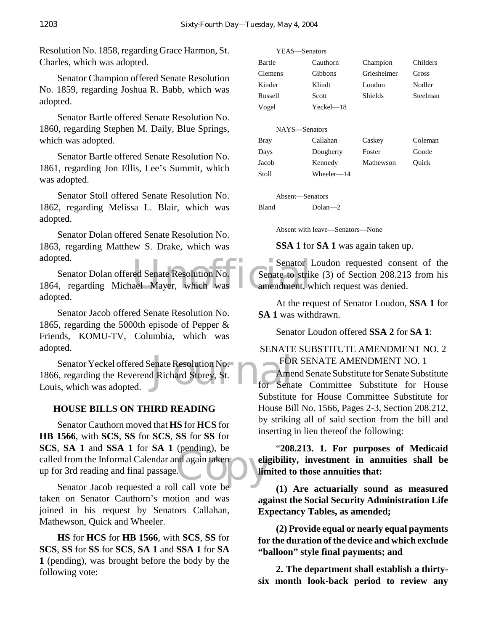Resolution No. 1858, regarding Grace Harmon, St. Charles, which was adopted.

Senator Champion offered Senate Resolution No. 1859, regarding Joshua R. Babb, which was adopted.

Senator Bartle offered Senate Resolution No. 1860, regarding Stephen M. Daily, Blue Springs, which was adopted.

Senator Bartle offered Senate Resolution No. 1861, regarding Jon Ellis, Lee's Summit, which was adopted.

Senator Stoll offered Senate Resolution No. 1862, regarding Melissa L. Blair, which was adopted.

Senator Dolan offered Senate Resolution No. 1863, regarding Matthew S. Drake, which was adopted.

Senator Dolan offered Senate Resolution No.<br>
1864, regarding Michael Mayer, which was amendment, w Senator Dolan offered Senate Resolution No. adopted.

Senator Jacob offered Senate Resolution No. 1865, regarding the 5000th episode of Pepper & Friends, KOMU-TV, Columbia, which was adopted.

enate Resolution No.<br>
1 Richard Storey, St. The Senate Corp. Senator Yeckel offered Senate Resolution No. 1866, regarding the Reverend Richard Storey, St. Louis, which was adopted.

#### **HOUSE BILLS ON THIRD READING**

d again taken<br>
Leall vote be Senator Cauthorn moved that **HS** for **HCS** for **HB 1566**, with **SCS**, **SS** for **SCS**, **SS** for **SS** for **SCS**, **SA 1** and **SSA 1** for **SA 1** (pending), be called from the Informal Calendar and again taken up for 3rd reading and final passage.

Senator Jacob requested a roll call vote be taken on Senator Cauthorn's motion and was joined in his request by Senators Callahan, Mathewson, Quick and Wheeler.

**HS** for **HCS** for **HB 1566**, with **SCS**, **SS** for **SCS**, **SS** for **SS** for **SCS**, **SA 1** and **SSA 1** for **SA 1** (pending), was brought before the body by the following vote:

| Bartle        | Cauthorn   | Champion       | Childers |
|---------------|------------|----------------|----------|
| Clemens       | Gibbons    | Griesheimer    | Gross    |
| Kinder        | Klindt     | Loudon         | Nodler   |
| Russell       | Scott      | <b>Shields</b> | Steelman |
| Vogel         | $Yech=18$  |                |          |
|               |            |                |          |
| NAYS-Senators |            |                |          |
| <b>Bray</b>   | Callahan   | Caskey         | Coleman  |
| Days          | Dougherty  | Foster         | Goode    |
| Jacob         | Kennedy    | Mathewson      | Ouick    |
| Stoll         | Wheeler—14 |                |          |
|               |            |                |          |

Absent—Senators

YEAS—Senators

Bland Dolan—2

Absent with leave—Senators—None

**SSA 1** for **SA 1** was again taken up.

Senator Loudon requested consent of the Senate to strike (3) of Section 208.213 from his amendment, which request was denied.

At the request of Senator Loudon, **SSA 1** for **SA 1** was withdrawn.

Senator Loudon offered **SSA 2** for **SA 1**:

#### SENATE SUBSTITUTE AMENDMENT NO. 2 FOR SENATE AMENDMENT NO. 1

Amend Senate Substitute for Senate Substitute Senate Committee Substitute for House Substitute for House Committee Substitute for House Bill No. 1566, Pages 2-3, Section 208.212, by striking all of said section from the bill and inserting in lieu thereof the following:

"**208.213. 1. For purposes of Medicaid eligibility, investment in annuities shall be limited to those annuities that:**

**(1) Are actuarially sound as measured against the Social Security Administration Life Expectancy Tables, as amended;**

**(2) Provide equal or nearly equal payments for the duration of the device and which exclude "balloon" style final payments; and**

**2. The department shall establish a thirtysix month look-back period to review any**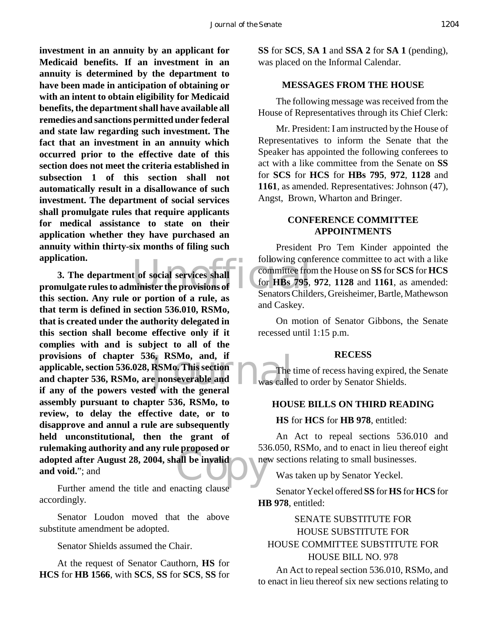**investment in an annuity by an applicant for Medicaid benefits. If an investment in an annuity is determined by the department to have been made in anticipation of obtaining or with an intent to obtain eligibility for Medicaid benefits, the department shall have available all remedies and sanctions permitted under federal and state law regarding such investment. The fact that an investment in an annuity which occurred prior to the effective date of this section does not meet the criteria established in subsection 1 of this section shall not automatically result in a disallowance of such investment. The department of social services shall promulgate rules that require applicants for medical assistance to state on their application whether they have purchased an annuity within thirty-six months of filing such application.**

application.<br> **3.** The department of social services shall<br>
promulgate rules to administer the provisions of<br> **EXECUTE:** Senators Child 6, -RSMo, and, if<br>RSMo. This section<br>e nonseverable and<br>d with the general<br>d with the general all be invalid **3. The department of social services shall this section. Any rule or portion of a rule, as that term is defined in section 536.010, RSMo, that is created under the authority delegated in this section shall become effective only if it complies with and is subject to all of the provisions of chapter 536, RSMo, and, if applicable, section 536.028, RSMo. This section and chapter 536, RSMo, are nonseverable and if any of the powers vested with the general assembly pursuant to chapter 536, RSMo, to review, to delay the effective date, or to disapprove and annul a rule are subsequently held unconstitutional, then the grant of rulemaking authority and any rule proposed or adopted after August 28, 2004, shall be invalid and void.**"; and

Further amend the title and enacting clause accordingly.

Senator Loudon moved that the above substitute amendment be adopted.

Senator Shields assumed the Chair.

At the request of Senator Cauthorn, **HS** for **HCS** for **HB 1566**, with **SCS**, **SS** for **SCS**, **SS** for **SS** for **SCS**, **SA 1** and **SSA 2** for **SA 1** (pending), was placed on the Informal Calendar.

#### **MESSAGES FROM THE HOUSE**

The following message was received from the House of Representatives through its Chief Clerk:

Mr. President: I am instructed by the House of Representatives to inform the Senate that the Speaker has appointed the following conferees to act with a like committee from the Senate on **SS** for **SCS** for **HCS** for **HBs 795**, **972**, **1128** and **1161**, as amended. Representatives: Johnson (47), Angst, Brown, Wharton and Bringer.

#### **CONFERENCE COMMITTEE APPOINTMENTS**

President Pro Tem Kinder appointed the following conference committee to act with a like committee from the House on **SS** for **SCS** for **HCS** for **HBs 795**, **972**, **1128** and **1161**, as amended: Senators Childers, Greisheimer, Bartle, Mathewson and Caskey.

On motion of Senator Gibbons, the Senate recessed until 1:15 p.m.

#### **RECESS**

The time of recess having expired, the Senate was called to order by Senator Shields.

#### **HOUSE BILLS ON THIRD READING**

#### **HS** for **HCS** for **HB 978**, entitled:

An Act to repeal sections 536.010 and 536.050, RSMo, and to enact in lieu thereof eight new sections relating to small businesses.

Was taken up by Senator Yeckel.

Senator Yeckel offered **SS** for **HS** for **HCS** for **HB 978**, entitled:

#### SENATE SUBSTITUTE FOR HOUSE SUBSTITUTE FOR HOUSE COMMITTEE SUBSTITUTE FOR HOUSE BILL NO. 978

An Act to repeal section 536.010, RSMo, and to enact in lieu thereof six new sections relating to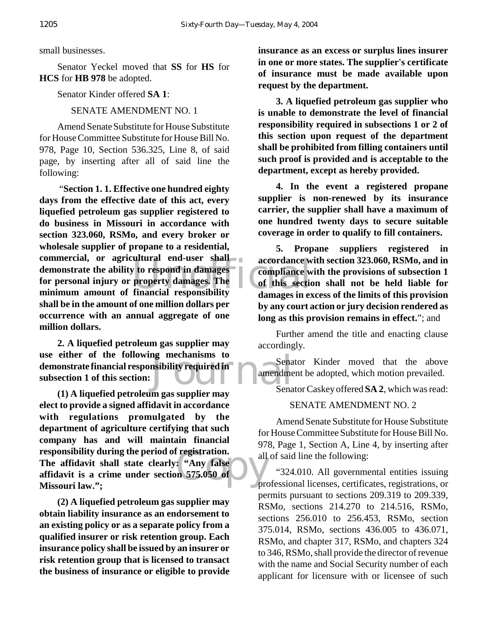small businesses.

Senator Yeckel moved that **SS** for **HS** for **HCS** for **HB 978** be adopted.

Senator Kinder offered **SA 1**:

SENATE AMENDMENT NO. 1

Amend Senate Substitute for House Substitute for House Committee Substitute for House Bill No. 978, Page 10, Section 536.325, Line 8, of said page, by inserting after all of said line the following:

Exercise of the secondance where the damages-<br>
University damages. The damages in exponsibility<br>
damages in exponsibility<br>
damages in exponsibility "**Section 1. 1. Effective one hundred eighty days from the effective date of this act, every liquefied petroleum gas supplier registered to do business in Missouri in accordance with section 323.060, RSMo, and every broker or wholesale supplier of propane to a residential, commercial, or agricultural end-user shall demonstrate the ability to respond in damages for personal injury or property damages. The minimum amount of financial responsibility shall be in the amount of one million dollars per occurrence with an annual aggregate of one million dollars.**

ng mechanisms to<br>
msibility required in amendme **2. A liquefied petroleum gas supplier may use either of the following mechanisms to demonstrate financial responsibility required in subsection 1 of this section:**

Fregistration.<br>
Party false<br>
Contains 575.050 of the property **(1) A liquefied petroleum gas supplier may elect to provide a signed affidavit in accordance with regulations promulgated by the department of agriculture certifying that such company has and will maintain financial responsibility during the period of registration. The affidavit shall state clearly: "Any false affidavit is a crime under section 575.050 of Missouri law.";**

**(2) A liquefied petroleum gas supplier may obtain liability insurance as an endorsement to an existing policy or as a separate policy from a qualified insurer or risk retention group. Each insurance policy shall be issued by an insurer or risk retention group that is licensed to transact the business of insurance or eligible to provide**

**insurance as an excess or surplus lines insurer in one or more states. The supplier's certificate of insurance must be made available upon request by the department.**

**3. A liquefied petroleum gas supplier who is unable to demonstrate the level of financial responsibility required in subsections 1 or 2 of this section upon request of the department shall be prohibited from filling containers until such proof is provided and is acceptable to the department, except as hereby provided.**

**4. In the event a registered propane supplier is non-renewed by its insurance carrier, the supplier shall have a maximum of one hundred twenty days to secure suitable coverage in order to qualify to fill containers.**

**5. Propane suppliers registered in accordance with section 323.060, RSMo, and in compliance with the provisions of subsection 1 of this section shall not be held liable for damages in excess of the limits of this provision by any court action or jury decision rendered as long as this provision remains in effect.**"; and

Further amend the title and enacting clause accordingly.

Senator Kinder moved that the above amendment be adopted, which motion prevailed.

Senator Caskey offered **SA 2**, which was read:

#### SENATE AMENDMENT NO. 2

Amend Senate Substitute for House Substitute for House Committee Substitute for House Bill No. 978, Page 1, Section A, Line 4, by inserting after all of said line the following:

"324.010. All governmental entities issuing professional licenses, certificates, registrations, or permits pursuant to sections 209.319 to 209.339, RSMo, sections 214.270 to 214.516, RSMo, sections 256.010 to 256.453, RSMo, section 375.014, RSMo, sections 436.005 to 436.071, RSMo, and chapter 317, RSMo, and chapters 324 to 346, RSMo, shall provide the director of revenue with the name and Social Security number of each applicant for licensure with or licensee of such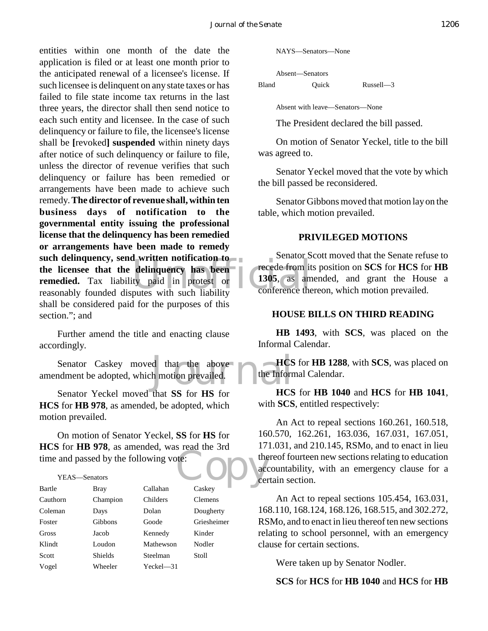delinquency has been<br>ty paid in protest or 1305, as am<br>putes with such liability conference the entities within one month of the date the application is filed or at least one month prior to the anticipated renewal of a licensee's license. If such licensee is delinquent on any state taxes or has failed to file state income tax returns in the last three years, the director shall then send notice to each such entity and licensee. In the case of such delinquency or failure to file, the licensee's license shall be **[**revoked**] suspended** within ninety days after notice of such delinquency or failure to file, unless the director of revenue verifies that such delinquency or failure has been remedied or arrangements have been made to achieve such remedy. **The director of revenue shall, within ten business days of notification to the governmental entity issuing the professional license that the delinquency has been remedied or arrangements have been made to remedy such delinquency, send written notification to the licensee that the delinquency has been remedied.** Tax liability paid in protest or reasonably founded disputes with such liability shall be considered paid for the purposes of this section."; and

Further amend the title and enacting clause accordingly.

d that the above HCS<br>h motion prevailed. Senator Caskey moved that the above amendment be adopted, which motion prevailed.

Senator Yeckel moved that **SS** for **HS** for **HCS** for **HB 978**, as amended, be adopted, which motion prevailed.

te:<br>Copyright of the context of the context of the context of the context of the context of the context of the context of the context of the context of the context of the context of the context of the context of the contex On motion of Senator Yeckel, **SS** for **HS** for **HCS** for **HB 978**, as amended, was read the 3rd time and passed by the following vote:

#### YEAS—Senators

| Bartle   | Bray           | Callahan     | Caskey         |
|----------|----------------|--------------|----------------|
| Cauthorn | Champion       | Childers     | <b>Clemens</b> |
| Coleman  | Days           | Dolan        | Dougherty      |
| Foster   | Gibbons        | Goode        | Griesheimer    |
| Gross    | Jacob          | Kennedy      | Kinder         |
| Klindt   | Loudon         | Mathewson    | Nodler         |
| Scott    | <b>Shields</b> | Steelman     | Stoll          |
| Vogel    | Wheeler        | $Yeckel$ —31 |                |

NAYS—Senators—None

Absent—Senators Bland Quick Russell—3

Absent with leave—Senators—None

The President declared the bill passed.

On motion of Senator Yeckel, title to the bill was agreed to.

Senator Yeckel moved that the vote by which the bill passed be reconsidered.

Senator Gibbons moved that motion lay on the table, which motion prevailed.

#### **PRIVILEGED MOTIONS**

Senator Scott moved that the Senate refuse to recede from its position on **SCS** for **HCS** for **HB 1305**, as amended, and grant the House a conference thereon, which motion prevailed.

#### **HOUSE BILLS ON THIRD READING**

**HB 1493**, with **SCS**, was placed on the Informal Calendar.

**HCS** for **HB 1288**, with **SCS**, was placed on the Informal Calendar.

**HCS** for **HB 1040** and **HCS** for **HB 1041**, with **SCS**, entitled respectively:

An Act to repeal sections 160.261, 160.518, 160.570, 162.261, 163.036, 167.031, 167.051, 171.031, and 210.145, RSMo, and to enact in lieu thereof fourteen new sections relating to education accountability, with an emergency clause for a certain section.

An Act to repeal sections 105.454, 163.031, 168.110, 168.124, 168.126, 168.515, and 302.272, RSMo, and to enact in lieu thereof ten new sections relating to school personnel, with an emergency clause for certain sections.

Were taken up by Senator Nodler.

**SCS** for **HCS** for **HB 1040** and **HCS** for **HB**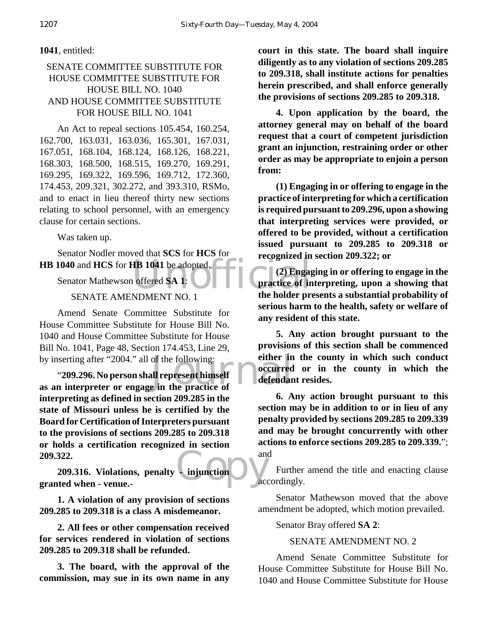#### **1041**, entitled:

#### SENATE COMMITTEE SUBSTITUTE FOR HOUSE COMMITTEE SUBSTITUTE FOR HOUSE BILL NO. 1040 AND HOUSE COMMITTEE SUBSTITUTE FOR HOUSE BILL NO. 1041

An Act to repeal sections 105.454, 160.254, 162.700, 163.031, 163.036, 165.301, 167.031, 167.051, 168.104, 168.124, 168.126, 168.221, 168.303, 168.500, 168.515, 169.270, 169.291, 169.295, 169.322, 169.596, 169.712, 172.360, 174.453, 209.321, 302.272, and 393.310, RSMo, and to enact in lieu thereof thirty new sections relating to school personnel, with an emergency clause for certain sections.

Was taken up.

Senator Nodler moved that **SCS** for **HCS** for **HB 1040** and **HCS** for **HB 1041** be adopted.

Senator Mathewson offered **SA 1**:

#### SENATE AMENDMENT NO. 1

Amend Senate Committee Substitute for House Committee Substitute for House Bill No. 1040 and House Committee Substitute for House Bill No. 1041, Page 48, Section 174.453, Line 29, by inserting after "2004." all of the following:

of the following:<br> **and the property of the property of the property of the properties of the practice of the property of the property of the property of the property of the property of the property of the property of the** "**209.296. No person shall represent himself as an interpreter or engage in the practice of interpreting as defined in section 209.285 in the state of Missouri unless he is certified by the Board for Certification of Interpreters pursuant to the provisions of sections 209.285 to 209.318 or holds a certification recognized in section 209.322.**

Computed by Care Computer **209.316. Violations, penalty - injunction granted when - venue.-**

**1. A violation of any provision of sections 209.285 to 209.318 is a class A misdemeanor.**

**2. All fees or other compensation received for services rendered in violation of sections 209.285 to 209.318 shall be refunded.**

**3. The board, with the approval of the commission, may sue in its own name in any**

**court in this state. The board shall inquire diligently as to any violation of sections 209.285 to 209.318, shall institute actions for penalties herein prescribed, and shall enforce generally the provisions of sections 209.285 to 209.318.**

**4. Upon application by the board, the attorney general may on behalf of the board request that a court of competent jurisdiction grant an injunction, restraining order or other order as may be appropriate to enjoin a person from:**

**(1) Engaging in or offering to engage in the practice of interpreting for which a certification is required pursuant to 209.296, upon a showing that interpreting services were provided, or offered to be provided, without a certification issued pursuant to 209.285 to 209.318 or recognized in section 209.322; or**

TR 1041 be adopted.<br>
offered SA 1: (2) Engaged and the holder produce of in **(2) Engaging in or offering to engage in the practice of interpreting, upon a showing that the holder presents a substantial probability of serious harm to the health, safety or welfare of any resident of this state.**

> **5. Any action brought pursuant to the provisions of this section shall be commenced either in the county in which such conduct occurred or in the county in which the defendant resides.**

> **6. Any action brought pursuant to this section may be in addition to or in lieu of any penalty provided by sections 209.285 to 209.339 and may be brought concurrently with other actions to enforce sections 209.285 to 209.339.**"; and

> Further amend the title and enacting clause accordingly.

> Senator Mathewson moved that the above amendment be adopted, which motion prevailed.

Senator Bray offered **SA 2**:

SENATE AMENDMENT NO. 2

Amend Senate Committee Substitute for House Committee Substitute for House Bill No. 1040 and House Committee Substitute for House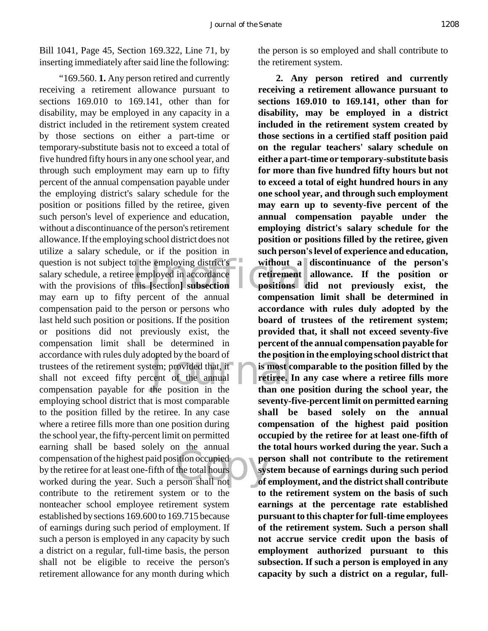Bill 1041, Page 45, Section 169.322, Line 71, by inserting immediately after said line the following:

question is not subject to the employing district's<br>
salary schedule, a retiree employed in accordance<br>
with the provisions of this [section] subsection<br>
may seem un to fifty negative for the engular componention opted by the board of the positive term; provided that, it is most control of the annual the control of the annual the control of the position in the theorem on the theorem of the position in the theorem of the theorem of Examing share of diseased solely on the almadation compensation of the highest paid position occupied<br>by the retiree for at least one-fifth of the total hours<br>worked during the year. Such a person shall not "169.560. **1.** Any person retired and currently receiving a retirement allowance pursuant to sections 169.010 to 169.141, other than for disability, may be employed in any capacity in a district included in the retirement system created by those sections on either a part-time or temporary-substitute basis not to exceed a total of five hundred fifty hours in any one school year, and through such employment may earn up to fifty percent of the annual compensation payable under the employing district's salary schedule for the position or positions filled by the retiree, given such person's level of experience and education, without a discontinuance of the person's retirement allowance. If the employing school district does not utilize a salary schedule, or if the position in salary schedule, a retiree employed in accordance with the provisions of this **[**section**] subsection** may earn up to fifty percent of the annual compensation paid to the person or persons who last held such position or positions. If the position or positions did not previously exist, the compensation limit shall be determined in accordance with rules duly adopted by the board of trustees of the retirement system; provided that, it shall not exceed fifty percent of the annual compensation payable for the position in the employing school district that is most comparable to the position filled by the retiree. In any case where a retiree fills more than one position during the school year, the fifty-percent limit on permitted earning shall be based solely on the annual by the retiree for at least one-fifth of the total hours worked during the year. Such a person shall not contribute to the retirement system or to the nonteacher school employee retirement system established by sections 169.600 to 169.715 because of earnings during such period of employment. If such a person is employed in any capacity by such a district on a regular, full-time basis, the person shall not be eligible to receive the person's retirement allowance for any month during which

the person is so employed and shall contribute to the retirement system.

**2. Any person retired and currently receiving a retirement allowance pursuant to sections 169.010 to 169.141, other than for disability, may be employed in a district included in the retirement system created by those sections in a certified staff position paid on the regular teachers' salary schedule on either a part-time or temporary-substitute basis for more than five hundred fifty hours but not to exceed a total of eight hundred hours in any one school year, and through such employment may earn up to seventy-five percent of the annual compensation payable under the employing district's salary schedule for the position or positions filled by the retiree, given such person's level of experience and education, without a discontinuance of the person's retirement allowance. If the position or positions did not previously exist, the compensation limit shall be determined in accordance with rules duly adopted by the board of trustees of the retirement system; provided that, it shall not exceed seventy-five percent of the annual compensation payable for the position in the employing school district that is most comparable to the position filled by the retiree. In any case where a retiree fills more than one position during the school year, the seventy-five-percent limit on permitted earning shall be based solely on the annual compensation of the highest paid position occupied by the retiree for at least one-fifth of the total hours worked during the year. Such a person shall not contribute to the retirement system because of earnings during such period of employment, and the district shall contribute to the retirement system on the basis of such earnings at the percentage rate established pursuant to this chapter for full-time employees of the retirement system. Such a person shall not accrue service credit upon the basis of employment authorized pursuant to this subsection. If such a person is employed in any capacity by such a district on a regular, full-**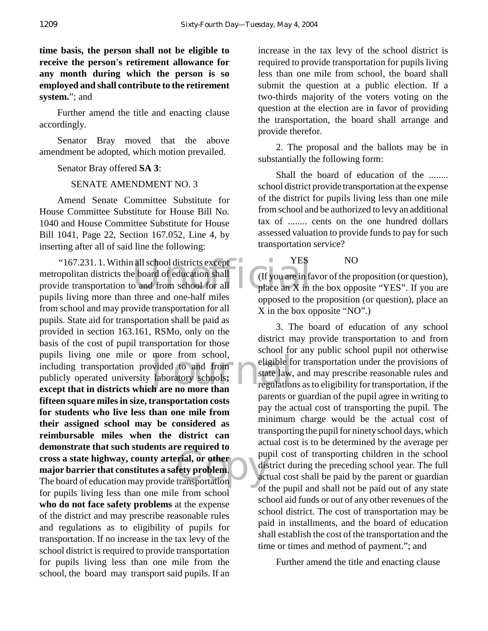**time basis, the person shall not be eligible to receive the person's retirement allowance for any month during which the person is so employed and shall contribute to the retirement system.**"; and

Further amend the title and enacting clause accordingly.

Senator Bray moved that the above amendment be adopted, which motion prevailed.

Senator Bray offered **SA 3**:

SENATE AMENDMENT NO. 3

Amend Senate Committee Substitute for House Committee Substitute for House Bill No. 1040 and House Committee Substitute for House Bill 1041, Page 22, Section 167.052, Line 4, by inserting after all of said line the following:

"167.231. 1. Within all school districts except"<br>
opolitan districts the board of education shall<br>
ide transportation to and from school for all<br>
leading more than three and are helf miles<br>
leading more than three and are more from school,<br>wided to and from eligible for<br>laboratory schools;<br>h are no more than Extremely and state in the board of education may provide transportation metropolitan districts the board of education shall provide transportation to and from school for all pupils living more than three and one-half miles from school and may provide transportation for all pupils. State aid for transportation shall be paid as provided in section 163.161, RSMo, only on the basis of the cost of pupil transportation for those pupils living one mile or more from school, including transportation provided to and from publicly operated university laboratory schools**; except that in districts which are no more than fifteen square miles in size, transportation costs for students who live less than one mile from their assigned school may be considered as reimbursable miles when the district can demonstrate that such students are required to cross a state highway, county arterial, or other major barrier that constitutes a safety problem**. for pupils living less than one mile from school **who do not face safety problems** at the expense of the district and may prescribe reasonable rules and regulations as to eligibility of pupils for transportation. If no increase in the tax levy of the school district is required to provide transportation for pupils living less than one mile from the school, the board may transport said pupils. If an

increase in the tax levy of the school district is required to provide transportation for pupils living less than one mile from school, the board shall submit the question at a public election. If a two-thirds majority of the voters voting on the question at the election are in favor of providing the transportation, the board shall arrange and provide therefor.

2. The proposal and the ballots may be in substantially the following form:

Shall the board of education of the ........ school district provide transportation at the expense of the district for pupils living less than one mile from school and be authorized to levy an additional tax of ........ cents on the one hundred dollars assessed valuation to provide funds to pay for such transportation service?

YES NO

(If you are in favor of the proposition (or question), place an X in the box opposite "YES". If you are opposed to the proposition (or question), place an X in the box opposite "NO".)

3. The board of education of any school district may provide transportation to and from school for any public school pupil not otherwise eligible for transportation under the provisions of state law, and may prescribe reasonable rules and regulations as to eligibility for transportation, if the parents or guardian of the pupil agree in writing to pay the actual cost of transporting the pupil. The minimum charge would be the actual cost of transporting the pupil for ninety school days, which actual cost is to be determined by the average per pupil cost of transporting children in the school district during the preceding school year. The full actual cost shall be paid by the parent or guardian of the pupil and shall not be paid out of any state school aid funds or out of any other revenues of the school district. The cost of transportation may be paid in installments, and the board of education shall establish the cost of the transportation and the time or times and method of payment."; and

Further amend the title and enacting clause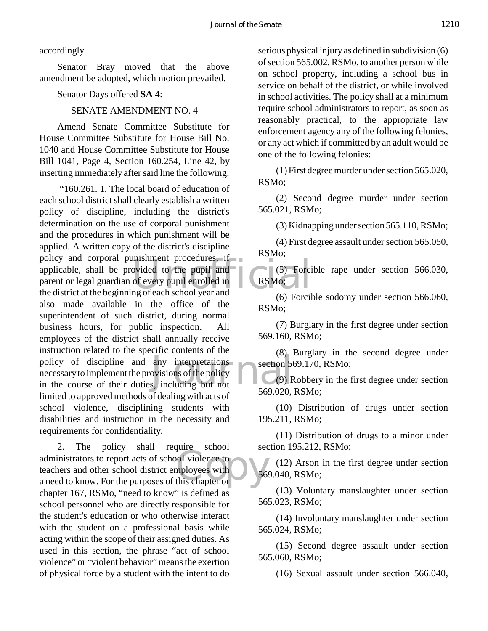accordingly.

Senator Bray moved that the above amendment be adopted, which motion prevailed.

Senator Days offered **SA 4**:

SENATE AMENDMENT NO. 4

Amend Senate Committee Substitute for House Committee Substitute for House Bill No. 1040 and House Committee Substitute for House Bill 1041, Page 4, Section 160.254, Line 42, by inserting immediately after said line the following:

mishment procedures, if<br>ovided to the pupil and<br>of every pupil enrolled in<br>mg of each school year and policy of discipline and any interpretations<br>
mecessary to implement the provisions of the policy<br>
in the course of their duties, including but not<br>  $\frac{69}{669}$  "160.261. 1. The local board of education of each school district shall clearly establish a written policy of discipline, including the district's determination on the use of corporal punishment and the procedures in which punishment will be applied. A written copy of the district's discipline policy and corporal punishment procedures, if applicable, shall be provided to the pupil and parent or legal guardian of every pupil enrolled in the district at the beginning of each school year and also made available in the office of the superintendent of such district, during normal business hours, for public inspection. All employees of the district shall annually receive instruction related to the specific contents of the necessary to implement the provisions of the policy in the course of their duties, including but not limited to approved methods of dealing with acts of school violence, disciplining students with disabilities and instruction in the necessity and requirements for confidentiality.

France Sensor<br>
ployees with<br>
this chapter or 2. The policy shall require school administrators to report acts of school violence to teachers and other school district employees with a need to know. For the purposes of this chapter or chapter 167, RSMo, "need to know" is defined as school personnel who are directly responsible for the student's education or who otherwise interact with the student on a professional basis while acting within the scope of their assigned duties. As used in this section, the phrase "act of school violence" or "violent behavior" means the exertion of physical force by a student with the intent to do

serious physical injury as defined in subdivision (6) of section 565.002, RSMo, to another person while on school property, including a school bus in service on behalf of the district, or while involved in school activities. The policy shall at a minimum require school administrators to report, as soon as reasonably practical, to the appropriate law enforcement agency any of the following felonies, or any act which if committed by an adult would be one of the following felonies:

(1) First degree murder under section 565.020, RSMo;

(2) Second degree murder under section 565.021, RSMo;

(3) Kidnapping under section 565.110, RSMo;

(4) First degree assault under section 565.050, RSMo;

(5) Forcible rape under section 566.030, RSMo;

(6) Forcible sodomy under section 566.060, RSMo;

(7) Burglary in the first degree under section 569.160, RSMo;

(8) Burglary in the second degree under section 569.170, RSMo;

(9) Robbery in the first degree under section 569.020, RSMo;

(10) Distribution of drugs under section 195.211, RSMo;

(11) Distribution of drugs to a minor under section 195.212, RSMo;

(12) Arson in the first degree under section 569.040, RSMo;

(13) Voluntary manslaughter under section 565.023, RSMo;

(14) Involuntary manslaughter under section 565.024, RSMo;

(15) Second degree assault under section 565.060, RSMo;

(16) Sexual assault under section 566.040,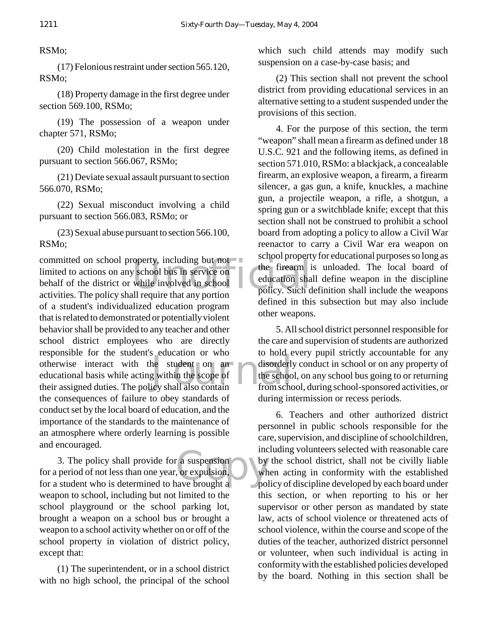RSMo;

(17) Felonious restraint under section 565.120, RSMo;

(18) Property damage in the first degree under section 569.100, RSMo;

(19) The possession of a weapon under chapter 571, RSMo;

(20) Child molestation in the first degree pursuant to section 566.067, RSMo;

(21) Deviate sexual assault pursuant to section 566.070, RSMo;

(22) Sexual misconduct involving a child pursuant to section 566.083, RSMo; or

(23) Sexual abuse pursuant to section 566.100, RSMo;

Exercise of the theorem is a serior property including but not<br>
v school bus in service on<br>
while involved in school<br>
Il require that any portion policy. Such d the student on an disorderly<br>g within the scope of the school the school icy shall also contain committed on school property, including but not limited to actions on any school bus in service on behalf of the district or while involved in school activities. The policy shall require that any portion of a student's individualized education program that is related to demonstrated or potentially violent behavior shall be provided to any teacher and other school district employees who are directly responsible for the student's education or who otherwise interact with the student on an educational basis while acting within the scope of their assigned duties. The policy shall also contain the consequences of failure to obey standards of conduct set by the local board of education, and the importance of the standards to the maintenance of an atmosphere where orderly learning is possible and encouraged.

a suspension<br>
or expulsion, by<br>
whave brought a 3. The policy shall provide for a suspension for a period of not less than one year, or expulsion, for a student who is determined to have brought a weapon to school, including but not limited to the school playground or the school parking lot, brought a weapon on a school bus or brought a weapon to a school activity whether on or off of the school property in violation of district policy, except that:

(1) The superintendent, or in a school district with no high school, the principal of the school which such child attends may modify such suspension on a case-by-case basis; and

(2) This section shall not prevent the school district from providing educational services in an alternative setting to a student suspended under the provisions of this section.

4. For the purpose of this section, the term "weapon" shall mean a firearm as defined under 18 U.S.C. 921 and the following items, as defined in section 571.010, RSMo: a blackjack, a concealable firearm, an explosive weapon, a firearm, a firearm silencer, a gas gun, a knife, knuckles, a machine gun, a projectile weapon, a rifle, a shotgun, a spring gun or a switchblade knife; except that this section shall not be construed to prohibit a school board from adopting a policy to allow a Civil War reenactor to carry a Civil War era weapon on school property for educational purposes so long as the firearm is unloaded. The local board of education shall define weapon in the discipline policy. Such definition shall include the weapons defined in this subsection but may also include other weapons.

5. All school district personnel responsible for the care and supervision of students are authorized to hold every pupil strictly accountable for any disorderly conduct in school or on any property of the school, on any school bus going to or returning from school, during school-sponsored activities, or during intermission or recess periods.

6. Teachers and other authorized district personnel in public schools responsible for the care, supervision, and discipline of schoolchildren, including volunteers selected with reasonable care by the school district, shall not be civilly liable when acting in conformity with the established policy of discipline developed by each board under this section, or when reporting to his or her supervisor or other person as mandated by state law, acts of school violence or threatened acts of school violence, within the course and scope of the duties of the teacher, authorized district personnel or volunteer, when such individual is acting in conformity with the established policies developed by the board. Nothing in this section shall be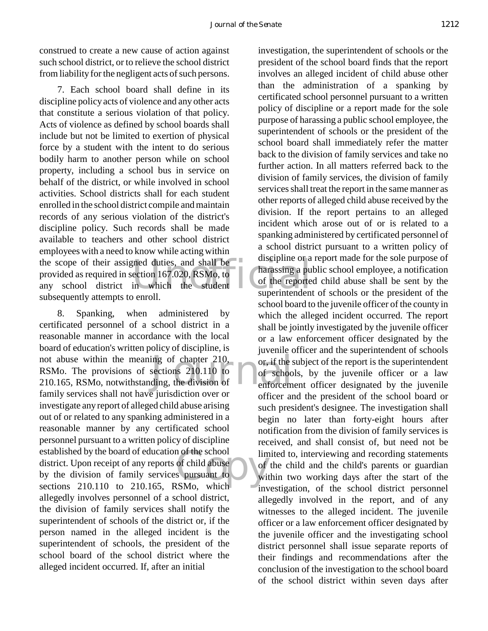construed to create a new cause of action against such school district, or to relieve the school district from liability for the negligent acts of such persons.

the scope of their assigned duties, and shall be a discipline or a<br>provided as required in section 167.020, RSMo, to<br>any school district in which the student of the reporte 7. Each school board shall define in its discipline policy acts of violence and any other acts that constitute a serious violation of that policy. Acts of violence as defined by school boards shall include but not be limited to exertion of physical force by a student with the intent to do serious bodily harm to another person while on school property, including a school bus in service on behalf of the district, or while involved in school activities. School districts shall for each student enrolled in the school district compile and maintain records of any serious violation of the district's discipline policy. Such records shall be made available to teachers and other school district employees with a need to know while acting within provided as required in section 167.020, RSMo, to any school district in which the student subsequently attempts to enroll.

ing of chapter 210, or, if the s<br>sections 210.110 to of schooling, the division of enforcem n of the school lim<br>of child abuse<br>s pursuant to win 8. Spanking, when administered by certificated personnel of a school district in a reasonable manner in accordance with the local board of education's written policy of discipline, is not abuse within the meaning of chapter 210, RSMo. The provisions of sections 210.110 to 210.165, RSMo, notwithstanding, the division of family services shall not have jurisdiction over or investigate any report of alleged child abuse arising out of or related to any spanking administered in a reasonable manner by any certificated school personnel pursuant to a written policy of discipline established by the board of education of the school district. Upon receipt of any reports of child abuse by the division of family services pursuant to sections 210.110 to 210.165, RSMo, which allegedly involves personnel of a school district, the division of family services shall notify the superintendent of schools of the district or, if the person named in the alleged incident is the superintendent of schools, the president of the school board of the school district where the alleged incident occurred. If, after an initial

investigation, the superintendent of schools or the president of the school board finds that the report involves an alleged incident of child abuse other than the administration of a spanking by certificated school personnel pursuant to a written policy of discipline or a report made for the sole purpose of harassing a public school employee, the superintendent of schools or the president of the school board shall immediately refer the matter back to the division of family services and take no further action. In all matters referred back to the division of family services, the division of family services shall treat the report in the same manner as other reports of alleged child abuse received by the division. If the report pertains to an alleged incident which arose out of or is related to a spanking administered by certificated personnel of a school district pursuant to a written policy of discipline or a report made for the sole purpose of harassing a public school employee, a notification of the reported child abuse shall be sent by the superintendent of schools or the president of the school board to the juvenile officer of the county in which the alleged incident occurred. The report shall be jointly investigated by the juvenile officer or a law enforcement officer designated by the juvenile officer and the superintendent of schools or, if the subject of the report is the superintendent of schools, by the juvenile officer or a law enforcement officer designated by the juvenile officer and the president of the school board or such president's designee. The investigation shall begin no later than forty-eight hours after notification from the division of family services is received, and shall consist of, but need not be limited to, interviewing and recording statements of the child and the child's parents or guardian within two working days after the start of the investigation, of the school district personnel allegedly involved in the report, and of any witnesses to the alleged incident. The juvenile officer or a law enforcement officer designated by the juvenile officer and the investigating school district personnel shall issue separate reports of their findings and recommendations after the conclusion of the investigation to the school board of the school district within seven days after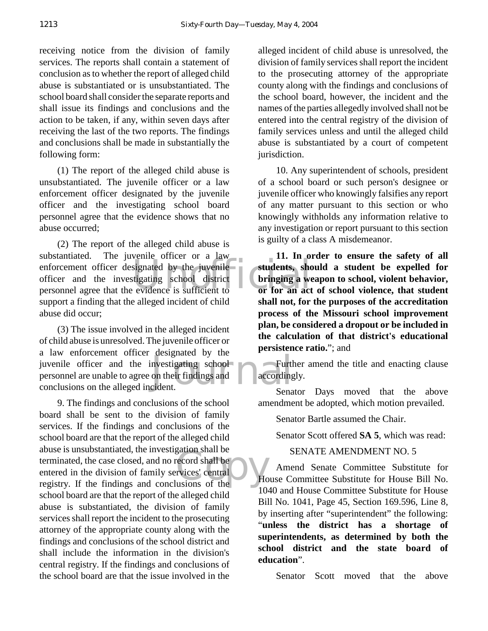receiving notice from the division of family services. The reports shall contain a statement of conclusion as to whether the report of alleged child abuse is substantiated or is unsubstantiated. The school board shall consider the separate reports and shall issue its findings and conclusions and the action to be taken, if any, within seven days after receiving the last of the two reports. The findings and conclusions shall be made in substantially the following form:

(1) The report of the alleged child abuse is unsubstantiated. The juvenile officer or a law enforcement officer designated by the juvenile officer and the investigating school board personnel agree that the evidence shows that no abuse occurred;

enforcement officer designated by the juvenile<br>
officer and the investigating school district<br>
personnel agree that the evidence is sufficient to<br>
or for an act (2) The report of the alleged child abuse is substantiated. The juvenile officer or a law officer and the investigating school district personnel agree that the evidence is sufficient to support a finding that the alleged incident of child abuse did occur;

nvestigating school<br>on their findings and<br>cident. (3) The issue involved in the alleged incident of child abuse is unresolved. The juvenile officer or a law enforcement officer designated by the juvenile officer and the investigating school personnel are unable to agree on their findings and conclusions on the alleged incident.

exercise of shall be<br>
provices' central<br>
usions of the 9. The findings and conclusions of the school board shall be sent to the division of family services. If the findings and conclusions of the school board are that the report of the alleged child abuse is unsubstantiated, the investigation shall be terminated, the case closed, and no record shall be entered in the division of family services' central registry. If the findings and conclusions of the school board are that the report of the alleged child abuse is substantiated, the division of family services shall report the incident to the prosecuting attorney of the appropriate county along with the findings and conclusions of the school district and shall include the information in the division's central registry. If the findings and conclusions of the school board are that the issue involved in the

alleged incident of child abuse is unresolved, the division of family services shall report the incident to the prosecuting attorney of the appropriate county along with the findings and conclusions of the school board, however, the incident and the names of the parties allegedly involved shall not be entered into the central registry of the division of family services unless and until the alleged child abuse is substantiated by a court of competent jurisdiction.

10. Any superintendent of schools, president of a school board or such person's designee or juvenile officer who knowingly falsifies any report of any matter pursuant to this section or who knowingly withholds any information relative to any investigation or report pursuant to this section is guilty of a class A misdemeanor.

**11. In order to ensure the safety of all students, should a student be expelled for bringing a weapon to school, violent behavior, or for an act of school violence, that student shall not, for the purposes of the accreditation process of the Missouri school improvement plan, be considered a dropout or be included in the calculation of that district's educational persistence ratio.**"; and

Further amend the title and enacting clause accordingly.

Senator Days moved that the above amendment be adopted, which motion prevailed.

Senator Bartle assumed the Chair.

Senator Scott offered **SA 5**, which was read:

#### SENATE AMENDMENT NO. 5

Amend Senate Committee Substitute for House Committee Substitute for House Bill No. 1040 and House Committee Substitute for House Bill No. 1041, Page 45, Section 169.596, Line 8, by inserting after "superintendent" the following: "**unless the district has a shortage of superintendents, as determined by both the school district and the state board of education**".

Senator Scott moved that the above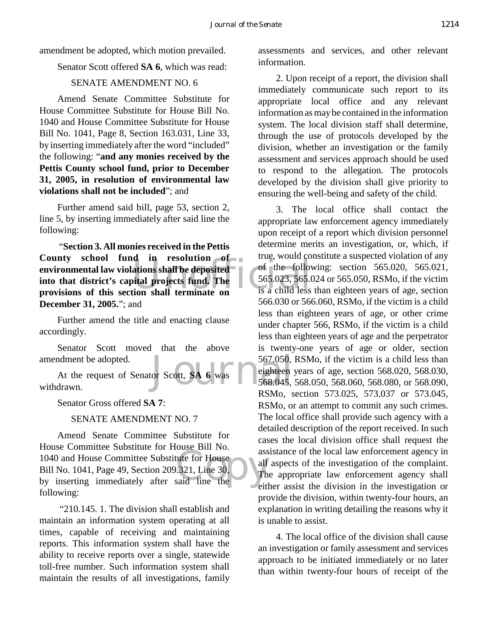amendment be adopted, which motion prevailed.

Senator Scott offered **SA 6**, which was read:

#### SENATE AMENDMENT NO. 6

Amend Senate Committee Substitute for House Committee Substitute for House Bill No. 1040 and House Committee Substitute for House Bill No. 1041, Page 8, Section 163.031, Line 33, by inserting immediately after the word "included" the following: "**and any monies received by the Pettis County school fund, prior to December 31, 2005, in resolution of environmental law violations shall not be included**"; and

Further amend said bill, page 53, section 2, line 5, by inserting immediately after said line the following:

ations shall be deposited<br>ital projects fund. The 565.023, 565.0<br>tion shall terminate on is a child less "**Section 3. All monies received in the Pettis County school fund in resolution of environmental law violations shall be deposited into that district's capital projects fund. The provisions of this section shall terminate on December 31, 2005.**"; and

Further amend the title and enacting clause accordingly.

Senator Scott moved that the above amendment be adopted.

567.050,<br>or Scott, SA 6 was<br>568.045, At the request of Senator Scott, **SA 6** was withdrawn.

Senator Gross offered **SA 7**:

#### SENATE AMENDMENT NO. 7

assemble.com<br>
ute for House<br>
.321, Line 30,<br>
all<br>
The said line the Amend Senate Committee Substitute for House Committee Substitute for House Bill No. 1040 and House Committee Substitute for House Bill No. 1041, Page 49, Section 209.321, Line 30, by inserting immediately after said line the following:

 "210.145. 1. The division shall establish and maintain an information system operating at all times, capable of receiving and maintaining reports. This information system shall have the ability to receive reports over a single, statewide toll-free number. Such information system shall maintain the results of all investigations, family assessments and services, and other relevant information.

2. Upon receipt of a report, the division shall immediately communicate such report to its appropriate local office and any relevant information as may be contained in the information system. The local division staff shall determine, through the use of protocols developed by the division, whether an investigation or the family assessment and services approach should be used to respond to the allegation. The protocols developed by the division shall give priority to ensuring the well-being and safety of the child.

3. The local office shall contact the appropriate law enforcement agency immediately upon receipt of a report which division personnel determine merits an investigation, or, which, if true, would constitute a suspected violation of any of the following: section 565.020, 565.021, 565.023, 565.024 or 565.050, RSMo, if the victim is a child less than eighteen years of age, section 566.030 or 566.060, RSMo, if the victim is a child less than eighteen years of age, or other crime under chapter 566, RSMo, if the victim is a child less than eighteen years of age and the perpetrator is twenty-one years of age or older, section 567.050, RSMo, if the victim is a child less than eighteen years of age, section 568.020, 568.030, 568.045, 568.050, 568.060, 568.080, or 568.090, RSMo, section 573.025, 573.037 or 573.045, RSMo, or an attempt to commit any such crimes. The local office shall provide such agency with a detailed description of the report received. In such cases the local division office shall request the assistance of the local law enforcement agency in all aspects of the investigation of the complaint. The appropriate law enforcement agency shall either assist the division in the investigation or provide the division, within twenty-four hours, an explanation in writing detailing the reasons why it is unable to assist.

4. The local office of the division shall cause an investigation or family assessment and services approach to be initiated immediately or no later than within twenty-four hours of receipt of the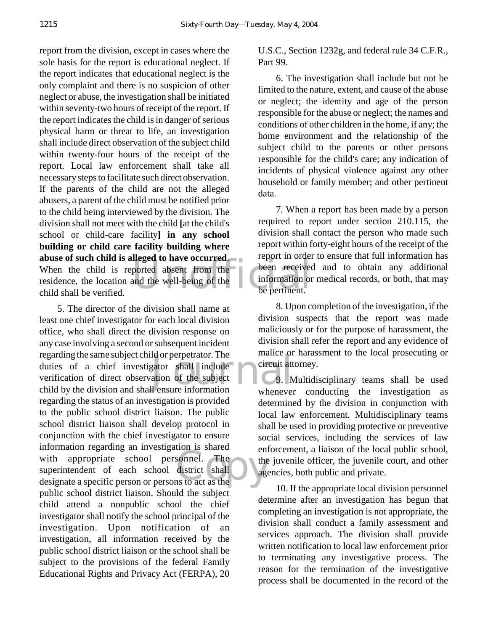ported absent from the been received<br>and the well-being of the been received<br>been received<br>be pertinent. report from the division, except in cases where the sole basis for the report is educational neglect. If the report indicates that educational neglect is the only complaint and there is no suspicion of other neglect or abuse, the investigation shall be initiated within seventy-two hours of receipt of the report. If the report indicates the child is in danger of serious physical harm or threat to life, an investigation shall include direct observation of the subject child within twenty-four hours of the receipt of the report. Local law enforcement shall take all necessary steps to facilitate such direct observation. If the parents of the child are not the alleged abusers, a parent of the child must be notified prior to the child being interviewed by the division. The division shall not meet with the child **[**at the child's school or child-care facility**] in any school building or child care facility building where abuse of such child is alleged to have occurred**. When the child is reported absent from the residence, the location and the well-being of the child shall be verified.

Id or perpetrator. The<br>gator shall include<br>ation of the subject<br>Il ensure information sonnel. The the district shall 5. The director of the division shall name at least one chief investigator for each local division office, who shall direct the division response on any case involving a second or subsequent incident regarding the same subject child or perpetrator. The duties of a chief investigator shall include verification of direct observation of the subject child by the division and shall ensure information regarding the status of an investigation is provided to the public school district liaison. The public school district liaison shall develop protocol in conjunction with the chief investigator to ensure information regarding an investigation is shared with appropriate school personnel. The superintendent of each school district shall designate a specific person or persons to act as the public school district liaison. Should the subject child attend a nonpublic school the chief investigator shall notify the school principal of the investigation. Upon notification of an investigation, all information received by the public school district liaison or the school shall be subject to the provisions of the federal Family Educational Rights and Privacy Act (FERPA), 20

U.S.C., Section 1232g, and federal rule 34 C.F.R., Part 99.

6. The investigation shall include but not be limited to the nature, extent, and cause of the abuse or neglect; the identity and age of the person responsible for the abuse or neglect; the names and conditions of other children in the home, if any; the home environment and the relationship of the subject child to the parents or other persons responsible for the child's care; any indication of incidents of physical violence against any other household or family member; and other pertinent data.

7. When a report has been made by a person required to report under section 210.115, the division shall contact the person who made such report within forty-eight hours of the receipt of the report in order to ensure that full information has been received and to obtain any additional information or medical records, or both, that may be pertinent.

8. Upon completion of the investigation, if the division suspects that the report was made maliciously or for the purpose of harassment, the division shall refer the report and any evidence of malice or harassment to the local prosecuting or circuit attorney.

9. Multidisciplinary teams shall be used whenever conducting the investigation as determined by the division in conjunction with local law enforcement. Multidisciplinary teams shall be used in providing protective or preventive social services, including the services of law enforcement, a liaison of the local public school, the juvenile officer, the juvenile court, and other agencies, both public and private.

10. If the appropriate local division personnel determine after an investigation has begun that completing an investigation is not appropriate, the division shall conduct a family assessment and services approach. The division shall provide written notification to local law enforcement prior to terminating any investigative process. The reason for the termination of the investigative process shall be documented in the record of the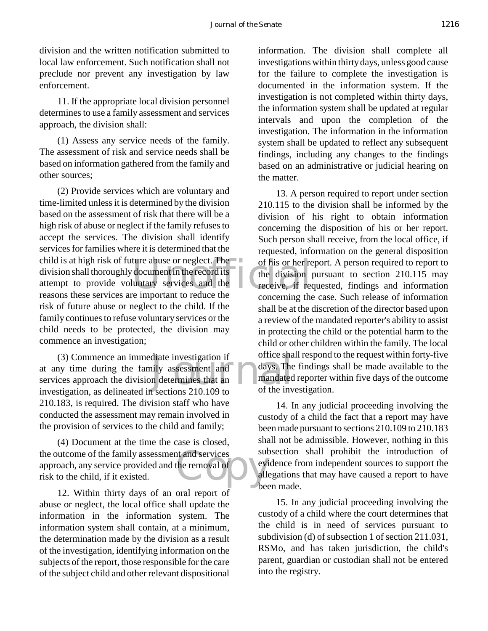division and the written notification submitted to local law enforcement. Such notification shall not preclude nor prevent any investigation by law enforcement.

11. If the appropriate local division personnel determines to use a family assessment and services approach, the division shall:

(1) Assess any service needs of the family. The assessment of risk and service needs shall be based on information gathered from the family and other sources;

ture abuse or neglect. The<br>document in the record its<br>luntary services and the<br>receive, if reduce the (2) Provide services which are voluntary and time-limited unless it is determined by the division based on the assessment of risk that there will be a high risk of abuse or neglect if the family refuses to accept the services. The division shall identify services for families where it is determined that the child is at high risk of future abuse or neglect. The division shall thoroughly document in the record its attempt to provide voluntary services and the reasons these services are important to reduce the risk of future abuse or neglect to the child. If the family continues to refuse voluntary services or the child needs to be protected, the division may commence an investigation;

diate investigation if<br>hily assessment and<br>n determines that an and mandated<br>n sections 210,109 to of the inv (3) Commence an immediate investigation if at any time during the family assessment and services approach the division determines that an investigation, as delineated in sections 210.109 to 210.183, is required. The division staff who have conducted the assessment may remain involved in the provision of services to the child and family;

ext and services<br>the removal of (4) Document at the time the case is closed, the outcome of the family assessment and services approach, any service provided and the removal of risk to the child, if it existed.

12. Within thirty days of an oral report of abuse or neglect, the local office shall update the information in the information system. The information system shall contain, at a minimum, the determination made by the division as a result of the investigation, identifying information on the subjects of the report, those responsible for the care of the subject child and other relevant dispositional information. The division shall complete all investigations within thirty days, unless good cause for the failure to complete the investigation is documented in the information system. If the investigation is not completed within thirty days, the information system shall be updated at regular intervals and upon the completion of the investigation. The information in the information system shall be updated to reflect any subsequent findings, including any changes to the findings based on an administrative or judicial hearing on the matter.

13. A person required to report under section 210.115 to the division shall be informed by the division of his right to obtain information concerning the disposition of his or her report. Such person shall receive, from the local office, if requested, information on the general disposition of his or her report. A person required to report to the division pursuant to section 210.115 may receive, if requested, findings and information concerning the case. Such release of information shall be at the discretion of the director based upon a review of the mandated reporter's ability to assist in protecting the child or the potential harm to the child or other children within the family. The local office shall respond to the request within forty-five days. The findings shall be made available to the mandated reporter within five days of the outcome of the investigation.

14. In any judicial proceeding involving the custody of a child the fact that a report may have been made pursuant to sections 210.109 to 210.183 shall not be admissible. However, nothing in this subsection shall prohibit the introduction of evidence from independent sources to support the allegations that may have caused a report to have **been** made.

15. In any judicial proceeding involving the custody of a child where the court determines that the child is in need of services pursuant to subdivision (d) of subsection 1 of section 211.031, RSMo, and has taken jurisdiction, the child's parent, guardian or custodian shall not be entered into the registry.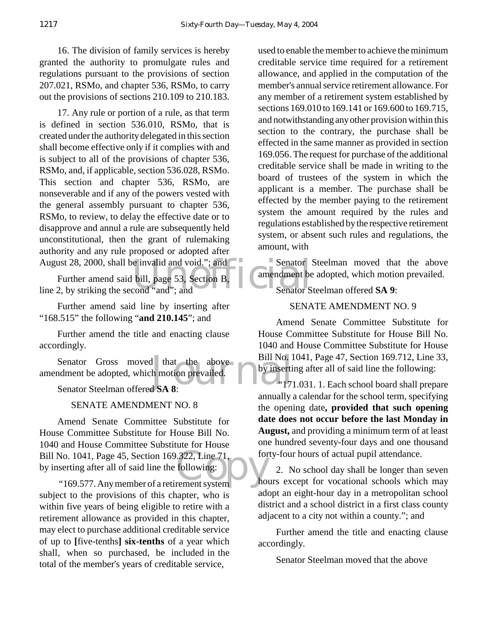16. The division of family services is hereby granted the authority to promulgate rules and regulations pursuant to the provisions of section 207.021, RSMo, and chapter 536, RSMo, to carry out the provisions of sections 210.109 to 210.183.

17. Any rule or portion of a rule, as that term is defined in section 536.010, RSMo, that is created under the authority delegated in this section shall become effective only if it complies with and is subject to all of the provisions of chapter 536, RSMo, and, if applicable, section 536.028, RSMo. This section and chapter 536, RSMo, are nonseverable and if any of the powers vested with the general assembly pursuant to chapter 536, RSMo, to review, to delay the effective date or to disapprove and annul a rule are subsequently held unconstitutional, then the grant of rulemaking authority and any rule proposed or adopted after August 28, 2000, shall be invalid and void."; and

e invalid and void."; and<br>bill, page 53, Section B,<br>cond "and"; and<br>Senator S Further amend said bill, page 53, Section B, line 2, by striking the second "and"; and

Further amend said line by inserting after "168.515" the following "**and 210.145**"; and

Further amend the title and enacting clause accordingly.

d that the above Bill No. 1<br>h motion prevailed.<br>d SA 8: Senator Gross moved that the above amendment be adopted, which motion prevailed.

Senator Steelman offered **SA 8**:

#### SENATE AMENDMENT NO. 8

Bill No. 1041, Page 45, Section 169.322, Line 71, for<br>by inserting after all of said line the following:<br>"169.577. Any member of a retirement system" Amend Senate Committee Substitute for House Committee Substitute for House Bill No. 1040 and House Committee Substitute for House by inserting after all of said line the following:

 "169.577. Any member of a retirement system subject to the provisions of this chapter, who is within five years of being eligible to retire with a retirement allowance as provided in this chapter, may elect to purchase additional creditable service of up to **[**five-tenths**] six-tenths** of a year which shall, when so purchased, be included in the total of the member's years of creditable service,

used to enable the member to achieve the minimum creditable service time required for a retirement allowance, and applied in the computation of the member's annual service retirement allowance. For any member of a retirement system established by sections 169.010 to 169.141 or 169.600 to 169.715, and notwithstanding any other provision within this section to the contrary, the purchase shall be effected in the same manner as provided in section 169.056. The request for purchase of the additional creditable service shall be made in writing to the board of trustees of the system in which the applicant is a member. The purchase shall be effected by the member paying to the retirement system the amount required by the rules and regulations established by the respective retirement system, or absent such rules and regulations, the amount, with

Senator Steelman moved that the above amendment be adopted, which motion prevailed.

Senator Steelman offered **SA 9**:

#### SENATE AMENDMENT NO. 9

Amend Senate Committee Substitute for House Committee Substitute for House Bill No. 1040 and House Committee Substitute for House Bill No. 1041, Page 47, Section 169.712, Line 33, by inserting after all of said line the following:

 "171.031. 1. Each school board shall prepare annually a calendar for the school term, specifying the opening date**, provided that such opening date does not occur before the last Monday in August,** and providing a minimum term of at least one hundred seventy-four days and one thousand forty-four hours of actual pupil attendance.

2. No school day shall be longer than seven hours except for vocational schools which may adopt an eight-hour day in a metropolitan school district and a school district in a first class county adjacent to a city not within a county."; and

Further amend the title and enacting clause accordingly.

Senator Steelman moved that the above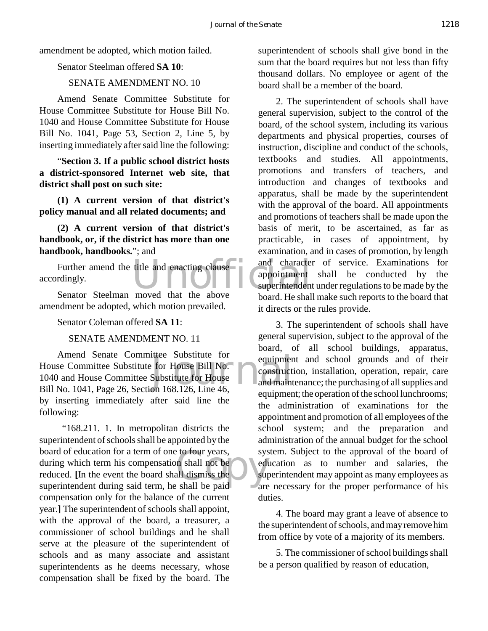amendment be adopted, which motion failed.

#### Senator Steelman offered **SA 10**:

#### SENATE AMENDMENT NO. 10

Amend Senate Committee Substitute for House Committee Substitute for House Bill No. 1040 and House Committee Substitute for House Bill No. 1041, Page 53, Section 2, Line 5, by inserting immediately after said line the following:

"**Section 3. If a public school district hosts a district-sponsored Internet web site, that district shall post on such site:**

**(1) A current version of that district's policy manual and all related documents; and**

**(2) A current version of that district's handbook, or, if the district has more than one handbook, handbooks.**"; and

Further amend the title and enacting clause and character<br>
rdingly. appointment<br>
Senator Steelman moved that the above board Heabal accordingly.

Senator Steelman moved that the above amendment be adopted, which motion prevailed.

Senator Coleman offered **SA 11**:

SENATE AMENDMENT NO. 11

ittee Substitute for<br>
For House Bill No.<br>
Substitute for House and maint<br>
on 168.126. Line 46. Amend Senate Committee Substitute for House Committee Substitute for House Bill No. 1040 and House Committee Substitute for House Bill No. 1041, Page 26, Section 168.126, Line 46, by inserting immediately after said line the following:

Correct System Strategy<br>
and Shall he below the Supplement Strategy<br>
Contained Strategy<br>
Contained Strategy<br>
Contained Strategy<br>
Contained Strategy<br>
Contained Strategy<br>
Contained Strategy<br>
Contained Strategy<br>
Contained Str "168.211. 1. In metropolitan districts the superintendent of schools shall be appointed by the board of education for a term of one to four years, during which term his compensation shall not be reduced. **[**In the event the board shall dismiss the superintendent during said term, he shall be paid compensation only for the balance of the current year.**]** The superintendent of schools shall appoint, with the approval of the board, a treasurer, a commissioner of school buildings and he shall serve at the pleasure of the superintendent of schools and as many associate and assistant superintendents as he deems necessary, whose compensation shall be fixed by the board. The

superintendent of schools shall give bond in the sum that the board requires but not less than fifty thousand dollars. No employee or agent of the board shall be a member of the board.

2. The superintendent of schools shall have general supervision, subject to the control of the board, of the school system, including its various departments and physical properties, courses of instruction, discipline and conduct of the schools, textbooks and studies. All appointments, promotions and transfers of teachers, and introduction and changes of textbooks and apparatus, shall be made by the superintendent with the approval of the board. All appointments and promotions of teachers shall be made upon the basis of merit, to be ascertained, as far as practicable, in cases of appointment, by examination, and in cases of promotion, by length and character of service. Examinations for appointment shall be conducted by the superintendent under regulations to be made by the board. He shall make such reports to the board that it directs or the rules provide.

3. The superintendent of schools shall have general supervision, subject to the approval of the board, of all school buildings, apparatus, equipment and school grounds and of their construction, installation, operation, repair, care and maintenance; the purchasing of all supplies and equipment; the operation of the school lunchrooms; the administration of examinations for the appointment and promotion of all employees of the school system; and the preparation and administration of the annual budget for the school system. Subject to the approval of the board of education as to number and salaries, the superintendent may appoint as many employees as are necessary for the proper performance of his duties.

4. The board may grant a leave of absence to the superintendent of schools, and may remove him from office by vote of a majority of its members.

5. The commissioner of school buildings shall be a person qualified by reason of education,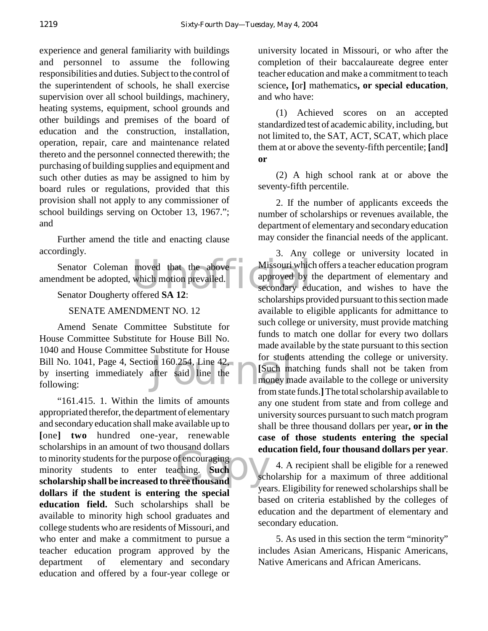experience and general familiarity with buildings and personnel to assume the following responsibilities and duties. Subject to the control of the superintendent of schools, he shall exercise supervision over all school buildings, machinery, heating systems, equipment, school grounds and other buildings and premises of the board of education and the construction, installation, operation, repair, care and maintenance related thereto and the personnel connected therewith; the purchasing of building supplies and equipment and such other duties as may be assigned to him by board rules or regulations, provided that this provision shall not apply to any commissioner of school buildings serving on October 13, 1967."; and

Further amend the title and enacting clause accordingly.

moved that the above Missouri which<br>which motion prevailed. <br>offered SA 12: Senator Coleman moved that the above amendment be adopted, which motion prevailed.

#### Senator Dougherty offered **SA 12**:

#### SENATE AMENDMENT NO. 12

on 160.254, Line 42, for stude<br>after said line the stude money m<br>from state Amend Senate Committee Substitute for House Committee Substitute for House Bill No. 1040 and House Committee Substitute for House Bill No. 1041, Page 4, Section 160.254, Line 42, by inserting immediately after said line the following:

of encouraging<br>
ching. Such<br>
rree thousand "161.415. 1. Within the limits of amounts appropriated therefor, the department of elementary and secondary education shall make available up to **[**one**] two** hundred one-year, renewable scholarships in an amount of two thousand dollars to minority students for the purpose of encouraging minority students to enter teaching. **Such scholarship shall be increased to three thousand dollars if the student is entering the special education field.** Such scholarships shall be available to minority high school graduates and college students who are residents of Missouri, and who enter and make a commitment to pursue a teacher education program approved by the department of elementary and secondary education and offered by a four-year college or

university located in Missouri, or who after the completion of their baccalaureate degree enter teacher education and make a commitment to teach science**, [**or**]** mathematics**, or special education**, and who have:

(1) Achieved scores on an accepted standardized test of academic ability, including, but not limited to, the SAT, ACT, SCAT, which place them at or above the seventy-fifth percentile; **[**and**] or**

(2) A high school rank at or above the seventy-fifth percentile.

2. If the number of applicants exceeds the number of scholarships or revenues available, the department of elementary and secondary education may consider the financial needs of the applicant.

3. Any college or university located in Missouri which offers a teacher education program approved by the department of elementary and secondary education, and wishes to have the scholarships provided pursuant to this section made available to eligible applicants for admittance to such college or university, must provide matching funds to match one dollar for every two dollars made available by the state pursuant to this section for students attending the college or university. **[**Such matching funds shall not be taken from money made available to the college or university from state funds.**]** The total scholarship available to any one student from state and from college and university sources pursuant to such match program shall be three thousand dollars per year**, or in the case of those students entering the special education field, four thousand dollars per year**.

4. A recipient shall be eligible for a renewed scholarship for a maximum of three additional years. Eligibility for renewed scholarships shall be based on criteria established by the colleges of education and the department of elementary and secondary education.

5. As used in this section the term "minority" includes Asian Americans, Hispanic Americans, Native Americans and African Americans.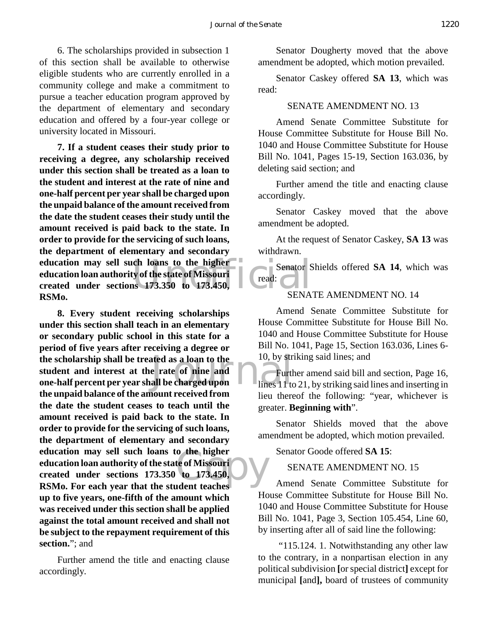6. The scholarships provided in subsection 1 of this section shall be available to otherwise eligible students who are currently enrolled in a community college and make a commitment to pursue a teacher education program approved by the department of elementary and secondary education and offered by a four-year college or university located in Missouri.

education may sell such loans to the higher<br>
education loan authority of the state of Missouri<br>
created under sections 173.350 to 173.450,<br> **ESMA 7. If a student ceases their study prior to receiving a degree, any scholarship received under this section shall be treated as a loan to the student and interest at the rate of nine and one-half percent per year shall be charged upon the unpaid balance of the amount received from the date the student ceases their study until the amount received is paid back to the state. In order to provide for the servicing of such loans, the department of elementary and secondary education loan authority of the state of Missouri created under sections 173.350 to 173.450, RSMo.**

the scholarship shall be treated as a loan to the student and interest at the rate of nine and Furth one-half percent per year shall be charged upon o the higher<br>te of Missouri<br>to 173.450,<br>udent teaches **8. Every student receiving scholarships under this section shall teach in an elementary or secondary public school in this state for a period of five years after receiving a degree or the scholarship shall be treated as a loan to the student and interest at the rate of nine and the unpaid balance of the amount received from the date the student ceases to teach until the amount received is paid back to the state. In order to provide for the servicing of such loans, the department of elementary and secondary education may sell such loans to the higher education loan authority of the state of Missouri created under sections 173.350 to 173.450, RSMo. For each year that the student teaches up to five years, one-fifth of the amount which was received under this section shall be applied against the total amount received and shall not be subject to the repayment requirement of this section.**"; and

Further amend the title and enacting clause accordingly.

Senator Dougherty moved that the above amendment be adopted, which motion prevailed.

Senator Caskey offered **SA 13**, which was read:

#### SENATE AMENDMENT NO. 13

Amend Senate Committee Substitute for House Committee Substitute for House Bill No. 1040 and House Committee Substitute for House Bill No. 1041, Pages 15-19, Section 163.036, by deleting said section; and

Further amend the title and enacting clause accordingly.

Senator Caskey moved that the above amendment be adopted.

At the request of Senator Caskey, **SA 13** was withdrawn.

Senator Shields offered **SA 14**, which was read:

#### SENATE AMENDMENT NO. 14

Amend Senate Committee Substitute for House Committee Substitute for House Bill No. 1040 and House Committee Substitute for House Bill No. 1041, Page 15, Section 163.036, Lines 6- 10, by striking said lines; and

Further amend said bill and section, Page 16, lines 11 to 21, by striking said lines and inserting in lieu thereof the following: "year, whichever is greater. **Beginning with**".

Senator Shields moved that the above amendment be adopted, which motion prevailed.

Senator Goode offered **SA 15**:

SENATE AMENDMENT NO. 15

Amend Senate Committee Substitute for House Committee Substitute for House Bill No. 1040 and House Committee Substitute for House Bill No. 1041, Page 3, Section 105.454, Line 60, by inserting after all of said line the following:

 "115.124. 1. Notwithstanding any other law to the contrary, in a nonpartisan election in any political subdivision **[**or special district**]** except for municipal **[**and**],** board of trustees of community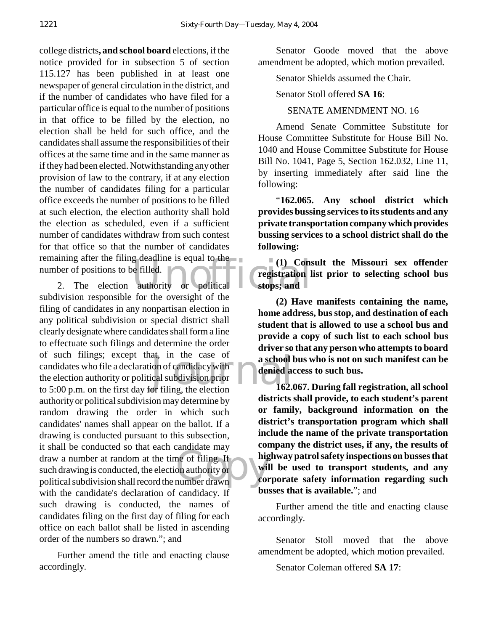remaining after the filing deadline is equal to the<br>
number of positions to be filled.<br>
2. The election authority or political stops; and college districts**, and school board** elections, if the notice provided for in subsection 5 of section 115.127 has been published in at least one newspaper of general circulation in the district, and if the number of candidates who have filed for a particular office is equal to the number of positions in that office to be filled by the election, no election shall be held for such office, and the candidates shall assume the responsibilities of their offices at the same time and in the same manner as if they had been elected. Notwithstanding any other provision of law to the contrary, if at any election the number of candidates filing for a particular office exceeds the number of positions to be filled at such election, the election authority shall hold the election as scheduled, even if a sufficient number of candidates withdraw from such contest for that office so that the number of candidates number of positions to be filled.

at, in the case of **a school!**<br>
ion of candidacy with<br>
cal subdivision prior<br>
or filing, the election 162. draw a number at random at the time of filing. If<br>
such drawing is conducted, the election authority or<br>
political subdivision shall record the number drawn 2. The election authority or political subdivision responsible for the oversight of the filing of candidates in any nonpartisan election in any political subdivision or special district shall clearly designate where candidates shall form a line to effectuate such filings and determine the order of such filings; except that, in the case of candidates who file a declaration of candidacy with the election authority or political subdivision prior to 5:00 p.m. on the first day for filing, the election authority or political subdivision may determine by random drawing the order in which such candidates' names shall appear on the ballot. If a drawing is conducted pursuant to this subsection, it shall be conducted so that each candidate may draw a number at random at the time of filing. If such drawing is conducted, the election authority or with the candidate's declaration of candidacy. If such drawing is conducted, the names of candidates filing on the first day of filing for each office on each ballot shall be listed in ascending order of the numbers so drawn."; and

Further amend the title and enacting clause accordingly.

Senator Goode moved that the above amendment be adopted, which motion prevailed.

Senator Shields assumed the Chair.

Senator Stoll offered **SA 16**:

#### SENATE AMENDMENT NO. 16

Amend Senate Committee Substitute for House Committee Substitute for House Bill No. 1040 and House Committee Substitute for House Bill No. 1041, Page 5, Section 162.032, Line 11, by inserting immediately after said line the following:

"**162.065. Any school district which provides bussing services to its students and any private transportation company which provides bussing services to a school district shall do the following:**

**(1) Consult the Missouri sex offender registration list prior to selecting school bus stops; and**

**(2) Have manifests containing the name, home address, bus stop, and destination of each student that is allowed to use a school bus and provide a copy of such list to each school bus driver so that any person who attempts to board a school bus who is not on such manifest can be denied access to such bus.**

**162.067. During fall registration, all school districts shall provide, to each student's parent or family, background information on the district's transportation program which shall include the name of the private transportation company the district uses, if any, the results of highway patrol safety inspections on busses that will be used to transport students, and any corporate safety information regarding such busses that is available.**"; and

Further amend the title and enacting clause accordingly.

Senator Stoll moved that the above amendment be adopted, which motion prevailed.

Senator Coleman offered **SA 17**: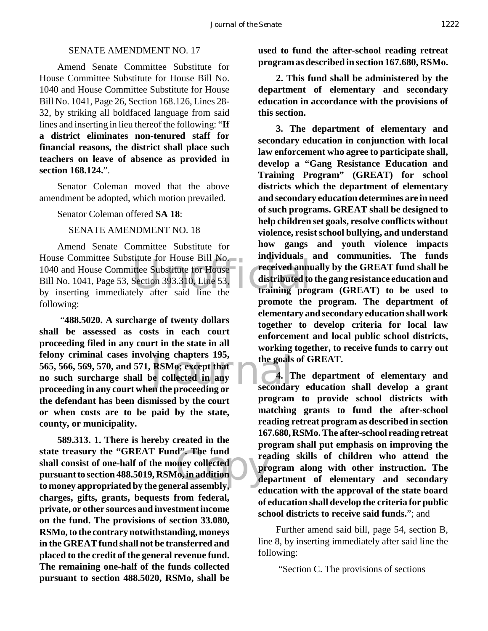#### SENATE AMENDMENT NO. 17

Amend Senate Committee Substitute for House Committee Substitute for House Bill No. 1040 and House Committee Substitute for House Bill No. 1041, Page 26, Section 168.126, Lines 28- 32, by striking all boldfaced language from said lines and inserting in lieu thereof the following: "**If a district eliminates non-tenured staff for financial reasons, the district shall place such teachers on leave of absence as provided in section 168.124.**".

Senator Coleman moved that the above amendment be adopted, which motion prevailed.

Senator Coleman offered **SA 18**:

SENATE AMENDMENT NO. 18

House Committee Substitute for House Bill No.<br>
1040 and House Committee Substitute for House Feceived annu<br>
Bill No. 1041, Page 53, Section 393.310, Line 53,<br>
by inserting immediately after said line the training pro Amend Senate Committee Substitute for 1040 and House Committee Substitute for House Bill No. 1041, Page 53, Section 393.310, Line 53, by inserting immediately after said line the following:

Is the goals<br>
RSMo; except that<br>
the collected in any<br>
in the proceeding or<br>
secondar "**488.5020. A surcharge of twenty dollars shall be assessed as costs in each court proceeding filed in any court in the state in all felony criminal cases involving chapters 195, 565, 566, 569, 570, and 571, RSMo; except that no such surcharge shall be collected in any proceeding in any court when the proceeding or the defendant has been dismissed by the court or when costs are to be paid by the state, county, or municipality.**

d". The fund<br>
mey collected<br>
[0, in addition]<br>
real assembly. **589.313. 1. There is hereby created in the state treasury the "GREAT Fund". The fund shall consist of one-half of the money collected pursuant to section 488.5019, RSMo, in addition to money appropriated by the general assembly, charges, gifts, grants, bequests from federal, private, or other sources and investment income on the fund. The provisions of section 33.080, RSMo, to the contrary notwithstanding, moneys in the GREAT fund shall not be transferred and placed to the credit of the general revenue fund. The remaining one-half of the funds collected pursuant to section 488.5020, RSMo, shall be**

**used to fund the after-school reading retreat program as described in section 167.680, RSMo.**

**2. This fund shall be administered by the department of elementary and secondary education in accordance with the provisions of this section.**

**3. The department of elementary and secondary education in conjunction with local law enforcement who agree to participate shall, develop a "Gang Resistance Education and Training Program" (GREAT) for school districts which the department of elementary and secondary education determines are in need of such programs. GREAT shall be designed to help children set goals, resolve conflicts without violence, resist school bullying, and understand how gangs and youth violence impacts individuals and communities. The funds received annually by the GREAT fund shall be distributed to the gang resistance education and training program (GREAT) to be used to promote the program. The department of elementary and secondary education shall work together to develop criteria for local law enforcement and local public school districts, working together, to receive funds to carry out the goals of GREAT.**

**4. The department of elementary and secondary education shall develop a grant program to provide school districts with matching grants to fund the after-school reading retreat program as described in section 167.680, RSMo. The after-school reading retreat program shall put emphasis on improving the reading skills of children who attend the program along with other instruction. The department of elementary and secondary education with the approval of the state board of education shall develop the criteria for public school districts to receive said funds.**"; and

Further amend said bill, page 54, section B, line 8, by inserting immediately after said line the following:

"Section C. The provisions of sections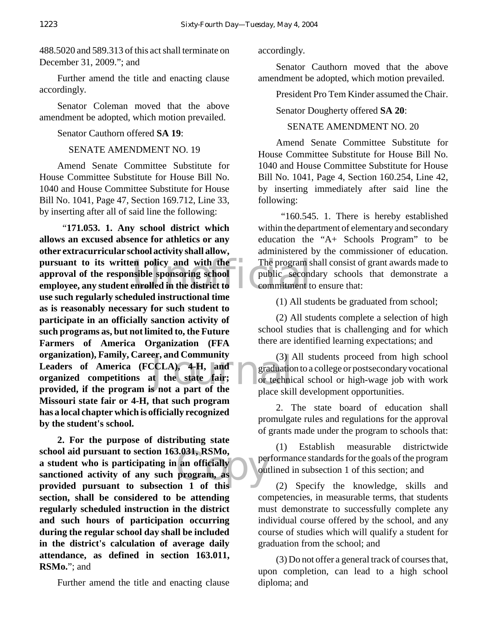488.5020 and 589.313 of this act shall terminate on December 31, 2009."; and

Further amend the title and enacting clause accordingly.

Senator Coleman moved that the above amendment be adopted, which motion prevailed.

Senator Cauthorn offered **SA 19**:

SENATE AMENDMENT NO. 19

Amend Senate Committee Substitute for House Committee Substitute for House Bill No. 1040 and House Committee Substitute for House Bill No. 1041, Page 47, Section 169.712, Line 33, by inserting after all of said line the following:

pursuant to its written policy and with the The program s<br>
approval of the responsible sponsoring school<br>
employee, any student enrolled in the district to<br>
we such normalized vectorial international time er, and Community (3)  $\mu$ <br>CCLA), 4-H, and graduatio<br>t the state fair;<br>s not a part of the place skill "**171.053. 1. Any school district which allows an excused absence for athletics or any other extracurricular school activity shall allow, approval of the responsible sponsoring school employee, any student enrolled in the district to use such regularly scheduled instructional time as is reasonably necessary for such student to participate in an officially sanction activity of such programs as, but not limited to, the Future Farmers of America Organization (FFA organization), Family, Career, and Community Leaders of America (FCCLA), 4-H, and organized competitions at the state fair; provided, if the program is not a part of the Missouri state fair or 4-H, that such program has a local chapter which is officially recognized by the student's school.**

3.031, RSMo,<br>an officially<br>program, as  $\bigcup_{\text{out}}$ <br>out **2. For the purpose of distributing state school aid pursuant to section 163.031, RSMo, a student who is participating in an officially sanctioned activity of any such program, as provided pursuant to subsection 1 of this section, shall be considered to be attending regularly scheduled instruction in the district and such hours of participation occurring during the regular school day shall be included in the district's calculation of average daily attendance, as defined in section 163.011, RSMo.**"; and

Further amend the title and enacting clause

accordingly.

Senator Cauthorn moved that the above amendment be adopted, which motion prevailed.

President Pro Tem Kinder assumed the Chair.

Senator Dougherty offered **SA 20**:

#### SENATE AMENDMENT NO. 20

Amend Senate Committee Substitute for House Committee Substitute for House Bill No. 1040 and House Committee Substitute for House Bill No. 1041, Page 4, Section 160.254, Line 42, by inserting immediately after said line the following:

 "160.545. 1. There is hereby established within the department of elementary and secondary education the "A+ Schools Program" to be administered by the commissioner of education. The program shall consist of grant awards made to public secondary schools that demonstrate a commitment to ensure that:

(1) All students be graduated from school;

(2) All students complete a selection of high school studies that is challenging and for which there are identified learning expectations; and

(3) All students proceed from high school graduation to a college or postsecondary vocational or technical school or high-wage job with work place skill development opportunities.

2. The state board of education shall promulgate rules and regulations for the approval of grants made under the program to schools that:

(1) Establish measurable districtwide performance standards for the goals of the program outlined in subsection 1 of this section; and

(2) Specify the knowledge, skills and competencies, in measurable terms, that students must demonstrate to successfully complete any individual course offered by the school, and any course of studies which will qualify a student for graduation from the school; and

(3) Do not offer a general track of courses that, upon completion, can lead to a high school diploma; and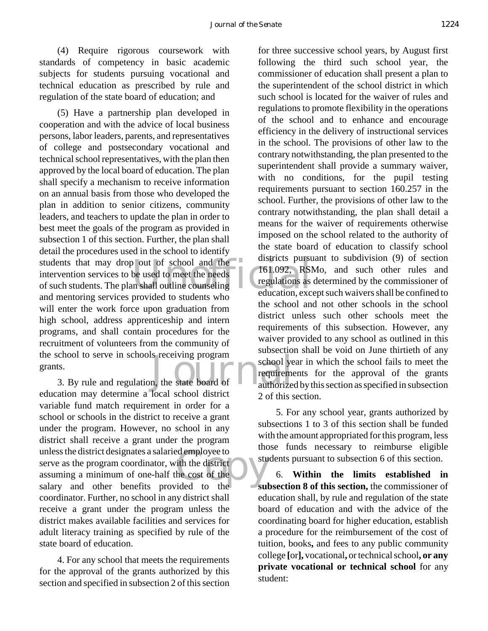(4) Require rigorous coursework with standards of competency in basic academic subjects for students pursuing vocational and technical education as prescribed by rule and regulation of the state board of education; and

students that may drop out of school and the<br>
intervention services to be used to meet the needs<br>
of such students. The plan shall outline counseling<br>
and mentering services previded to students who School to serve in schools receiving program<br>
1. School years<br>
3. By rule and regulation, the state board of authorize (5) Have a partnership plan developed in cooperation and with the advice of local business persons, labor leaders, parents, and representatives of college and postsecondary vocational and technical school representatives, with the plan then approved by the local board of education. The plan shall specify a mechanism to receive information on an annual basis from those who developed the plan in addition to senior citizens, community leaders, and teachers to update the plan in order to best meet the goals of the program as provided in subsection 1 of this section. Further, the plan shall detail the procedures used in the school to identify intervention services to be used to meet the needs of such students. The plan shall outline counseling and mentoring services provided to students who will enter the work force upon graduation from high school, address apprenticeship and intern programs, and shall contain procedures for the recruitment of volunteers from the community of the school to serve in schools receiving program grants.

ed employee to<br>
ith the district<br>
he cost of the<br>
ided to the education may determine a local school district variable fund match requirement in order for a school or schools in the district to receive a grant under the program. However, no school in any district shall receive a grant under the program unless the district designates a salaried employee to serve as the program coordinator, with the district assuming a minimum of one-half the cost of the salary and other benefits provided to the coordinator. Further, no school in any district shall receive a grant under the program unless the district makes available facilities and services for adult literacy training as specified by rule of the state board of education.

4. For any school that meets the requirements for the approval of the grants authorized by this section and specified in subsection 2 of this section

for three successive school years, by August first following the third such school year, the commissioner of education shall present a plan to the superintendent of the school district in which such school is located for the waiver of rules and regulations to promote flexibility in the operations of the school and to enhance and encourage efficiency in the delivery of instructional services in the school. The provisions of other law to the contrary notwithstanding, the plan presented to the superintendent shall provide a summary waiver, with no conditions, for the pupil testing requirements pursuant to section 160.257 in the school. Further, the provisions of other law to the contrary notwithstanding, the plan shall detail a means for the waiver of requirements otherwise imposed on the school related to the authority of the state board of education to classify school districts pursuant to subdivision (9) of section 161.092, RSMo, and such other rules and regulations as determined by the commissioner of education, except such waivers shall be confined to the school and not other schools in the school district unless such other schools meet the requirements of this subsection. However, any waiver provided to any school as outlined in this subsection shall be void on June thirtieth of any school year in which the school fails to meet the requirements for the approval of the grants authorized by this section as specified in subsection 2 of this section.

5. For any school year, grants authorized by subsections 1 to 3 of this section shall be funded with the amount appropriated for this program, less those funds necessary to reimburse eligible students pursuant to subsection 6 of this section.

6. **Within the limits established in subsection 8 of this section,** the commissioner of education shall, by rule and regulation of the state board of education and with the advice of the coordinating board for higher education, establish a procedure for the reimbursement of the cost of tuition, books**,** and fees to any public community college **[**or**],** vocational**,** or technical school**, or any private vocational or technical school** for any student: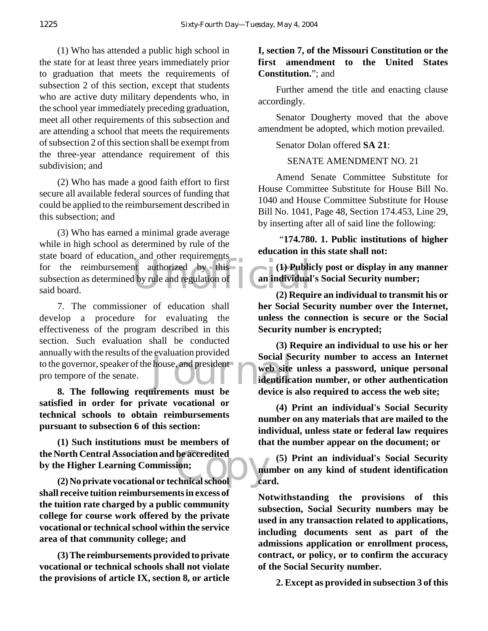(1) Who has attended a public high school in the state for at least three years immediately prior to graduation that meets the requirements of subsection 2 of this section, except that students who are active duty military dependents who, in the school year immediately preceding graduation, meet all other requirements of this subsection and are attending a school that meets the requirements of subsection 2 of this section shall be exempt from the three-year attendance requirement of this subdivision; and

(2) Who has made a good faith effort to first secure all available federal sources of funding that could be applied to the reimbursement described in this subsection; and

for the reimbursement authorized by this<br>subsection as determined by rule and regulation of<br>said board. (2) Required 2014 (3) Who has earned a minimal grade average while in high school as determined by rule of the state board of education, and other requirements subsection as determined by rule and regulation of said board.

Social Se<br>
house, and president<br>
identified<br>
identified<br>
identified<br>
is<br>
device is 7. The commissioner of education shall develop a procedure for evaluating the effectiveness of the program described in this section. Such evaluation shall be conducted annually with the results of the evaluation provided to the governor, speaker of the house, and president pro tempore of the senate.

**8. The following requirements must be satisfied in order for private vocational or technical schools to obtain reimbursements pursuant to subsection 6 of this section:**

the North Central Association and be accredited<br>by the Higher Learning Commission;<br>(2) No private vocational or technical school can **(1) Such institutions must be members of by the Higher Learning Commission;**

**(2) No private vocational or technical school shall receive tuition reimbursements in excess of the tuition rate charged by a public community college for course work offered by the private vocational or technical school within the service area of that community college; and**

**(3) The reimbursements provided to private vocational or technical schools shall not violate the provisions of article IX, section 8, or article**

#### **I, section 7, of the Missouri Constitution or the first amendment to the United States Constitution.**"; and

Further amend the title and enacting clause accordingly.

Senator Dougherty moved that the above amendment be adopted, which motion prevailed.

#### Senator Dolan offered **SA 21**:

#### SENATE AMENDMENT NO. 21

Amend Senate Committee Substitute for House Committee Substitute for House Bill No. 1040 and House Committee Substitute for House Bill No. 1041, Page 48, Section 174.453, Line 29, by inserting after all of said line the following:

 "**174.780. 1. Public institutions of higher education in this state shall not:**

**(1) Publicly post or display in any manner an individual's Social Security number;**

**(2) Require an individual to transmit his or her Social Security number over the Internet, unless the connection is secure or the Social Security number is encrypted;**

**(3) Require an individual to use his or her Social Security number to access an Internet web site unless a password, unique personal identification number, or other authentication device is also required to access the web site;**

**(4) Print an individual's Social Security number on any materials that are mailed to the individual, unless state or federal law requires that the number appear on the document; or**

**(5) Print an individual's Social Security number on any kind of student identification card.**

**Notwithstanding the provisions of this subsection, Social Security numbers may be used in any transaction related to applications, including documents sent as part of the admissions application or enrollment process, contract, or policy, or to confirm the accuracy of the Social Security number.**

**2. Except as provided in subsection 3 of this**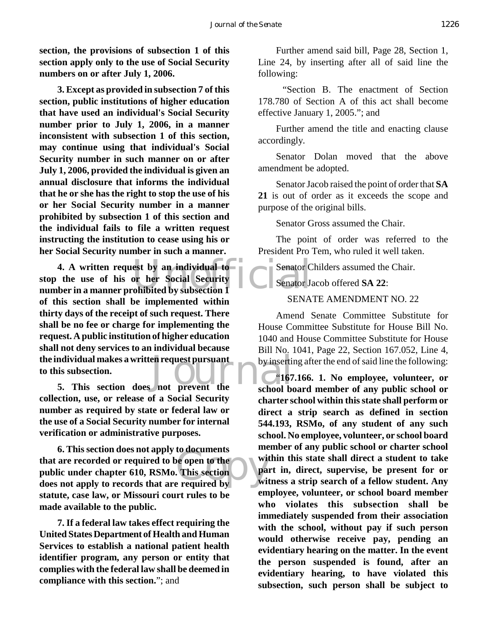**section, the provisions of subsection 1 of this section apply only to the use of Social Security numbers on or after July 1, 2006.**

**3. Except as provided in subsection 7 of this section, public institutions of higher education that have used an individual's Social Security number prior to July 1, 2006, in a manner inconsistent with subsection 1 of this section, may continue using that individual's Social Security number in such manner on or after July 1, 2006, provided the individual is given an annual disclosure that informs the individual that he or she has the right to stop the use of his or her Social Security number in a manner prohibited by subsection 1 of this section and the individual fails to file a written request instructing the institution to cease using his or her Social Security number in such a manner.**

**4. A written request by an individual to**<br>
the use of his or her Social Security<br>
ber in a manner prohibited by subsection 1 **Ion Islam School Market School School School School School School School School School School School School School School School School School School School School School School School School School School School School S stop the use of his or her Social Security number in a manner prohibited by subsection 1 of this section shall be implemented within thirty days of the receipt of such request. There shall be no fee or charge for implementing the request. A public institution of higher education shall not deny services to an individual because the individual makes a written request pursuant to this subsection.**

**collection, use, or release of a Social Security number as required by state or federal law or the use of a Social Security number for internal verification or administrative purposes.**

**1.** This section does not apply to documents<br>
that are recorded or required to be open to the<br>
public under chapter 610, RSMo. This section<br>
does not apply to records that are required by **6. This section does not apply to documents that are recorded or required to be open to the public under chapter 610, RSMo. This section statute, case law, or Missouri court rules to be made available to the public.**

**7. If a federal law takes effect requiring the United States Department of Health and Human Services to establish a national patient health identifier program, any person or entity that complies with the federal law shall be deemed in compliance with this section.**"; and

Further amend said bill, Page 28, Section 1, Line 24, by inserting after all of said line the following:

 "Section B. The enactment of Section 178.780 of Section A of this act shall become effective January 1, 2005."; and

Further amend the title and enacting clause accordingly.

Senator Dolan moved that the above amendment be adopted.

Senator Jacob raised the point of order that **SA 21** is out of order as it exceeds the scope and purpose of the original bills.

Senator Gross assumed the Chair.

The point of order was referred to the President Pro Tem, who ruled it well taken.

Senator Childers assumed the Chair.

Senator Jacob offered **SA 22**:

#### SENATE AMENDMENT NO. 22

Amend Senate Committee Substitute for House Committee Substitute for House Bill No. 1040 and House Committee Substitute for House Bill No. 1041, Page 22, Section 167.052, Line 4, by inserting after the end of said line the following:

"**167.166. 1. No employee, volunteer, or school board member of any public school or charter school within this state shall perform or direct a strip search as defined in section 544.193, RSMo, of any student of any such school. No employee, volunteer, or school board member of any public school or charter school within this state shall direct a student to take part in, direct, supervise, be present for or witness a strip search of a fellow student. Any employee, volunteer, or school board member who violates this subsection shall be immediately suspended from their association with the school, without pay if such person would otherwise receive pay, pending an evidentiary hearing on the matter. In the event the person suspended is found, after an evidentiary hearing, to have violated this subsection, such person shall be subject to**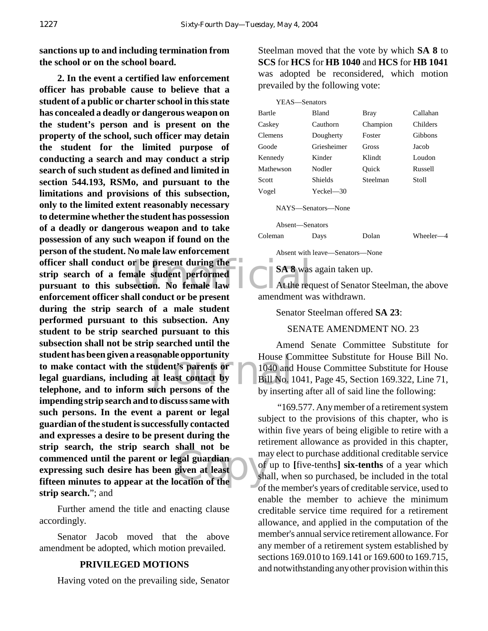**sanctions up to and including termination from the school or on the school board.**

officer shall conduct or be present during the<br>
strip search of a female student performed<br>
pursuant to this subsection. No female law<br>
and a strip officer shall conduct on be present<br>
compared with the req sonable opportunity<br> **Example 1040** and<br> **at least contact by**<br> **EXECUTE:** 1040 and<br> **EXECUTE:** 1040 and<br> **EXECUTE:** 1040 and<br> **EXECUTE:** 1040 and<br> **EXECUTE:** exament interest<br>given at least<br>contion of the **2. In the event a certified law enforcement officer has probable cause to believe that a student of a public or charter school in this state has concealed a deadly or dangerous weapon on the student's person and is present on the property of the school, such officer may detain the student for the limited purpose of conducting a search and may conduct a strip search of such student as defined and limited in section 544.193, RSMo, and pursuant to the limitations and provisions of this subsection, only to the limited extent reasonably necessary to determine whether the student has possession of a deadly or dangerous weapon and to take possession of any such weapon if found on the person of the student. No male law enforcement strip search of a female student performed pursuant to this subsection. No female law enforcement officer shall conduct or be present during the strip search of a male student performed pursuant to this subsection. Any student to be strip searched pursuant to this subsection shall not be strip searched until the student has been given a reasonable opportunity to make contact with the student's parents or legal guardians, including at least contact by telephone, and to inform such persons of the impending strip search and to discuss same with such persons. In the event a parent or legal guardian of the student is successfully contacted and expresses a desire to be present during the strip search, the strip search shall not be commenced until the parent or legal guardian expressing such desire has been given at least fifteen minutes to appear at the location of the strip search.**"; and

Further amend the title and enacting clause accordingly.

Senator Jacob moved that the above amendment be adopted, which motion prevailed.

#### **PRIVILEGED MOTIONS**

Having voted on the prevailing side, Senator

Steelman moved that the vote by which **SA 8** to **SCS** for **HCS** for **HB 1040** and **HCS** for **HB 1041** was adopted be reconsidered, which motion prevailed by the following vote:

| YEAS-Senators |               |             |          |
|---------------|---------------|-------------|----------|
| Bartle        | Bland         | <b>Bray</b> | Callahan |
| Caskey        | Cauthorn      | Champion    | Childers |
| Clemens       | Dougherty     | Foster      | Gibbons  |
| Goode         | Griesheimer   | Gross       | Jacob    |
| Kennedy       | Kinder        | Klindt      | Loudon   |
| Mathewson     | Nodler        | Ouick       | Russell  |
| Scott         | Shields       | Steelman    | Stoll    |
| Vogel         | $Yeckel - 30$ |             |          |
|               |               |             |          |

NAYS—Senators—None

Absent—Senators

Coleman Days Dolan Wheeler—4

Absent with leave—Senators—None

**SA 8** was again taken up.

At the request of Senator Steelman, the above amendment was withdrawn.

Senator Steelman offered **SA 23**:

SENATE AMENDMENT NO. 23

Amend Senate Committee Substitute for House Committee Substitute for House Bill No. 1040 and House Committee Substitute for House Bill No. 1041, Page 45, Section 169.322, Line 71, by inserting after all of said line the following:

 "169.577. Any member of a retirement system subject to the provisions of this chapter, who is within five years of being eligible to retire with a retirement allowance as provided in this chapter, may elect to purchase additional creditable service of up to **[**five-tenths**] six-tenths** of a year which shall, when so purchased, be included in the total of the member's years of creditable service, used to enable the member to achieve the minimum creditable service time required for a retirement allowance, and applied in the computation of the member's annual service retirement allowance. For any member of a retirement system established by sections 169.010 to 169.141 or 169.600 to 169.715, and notwithstanding any other provision within this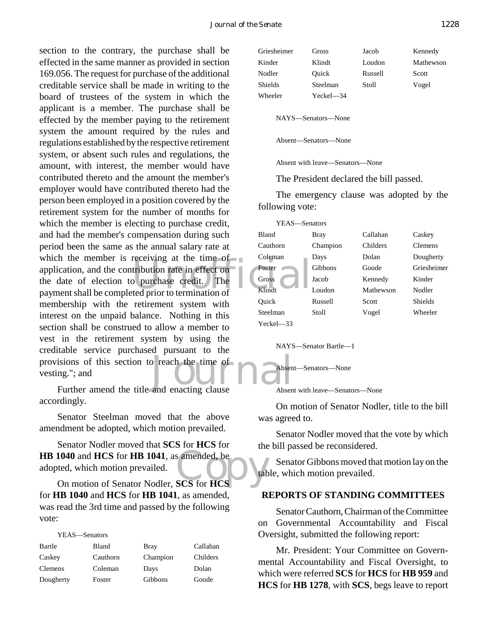The tribution rate in effect on-<br>
a purchase credit. The Coronal The ted prior to termination of Klindt provisions of this section to reach the time of<br>vesting."; and<br>Further amend the title and enacting clause section to the contrary, the purchase shall be effected in the same manner as provided in section 169.056. The request for purchase of the additional creditable service shall be made in writing to the board of trustees of the system in which the applicant is a member. The purchase shall be effected by the member paying to the retirement system the amount required by the rules and regulations established by the respective retirement system, or absent such rules and regulations, the amount, with interest, the member would have contributed thereto and the amount the member's employer would have contributed thereto had the person been employed in a position covered by the retirement system for the number of months for which the member is electing to purchase credit, and had the member's compensation during such period been the same as the annual salary rate at which the member is receiving at the time of application, and the contribution rate in effect on the date of election to purchase credit. The payment shall be completed prior to termination of membership with the retirement system with interest on the unpaid balance. Nothing in this section shall be construed to allow a member to vest in the retirement system by using the creditable service purchased pursuant to the vesting."; and

Further amend the title and enacting clause accordingly.

Senator Steelman moved that the above amendment be adopted, which motion prevailed.

1040 and **HCS** for **HB 1041**, as amended, be<br>ted, which motion prevailed.<br>On motion of Senator Nodler, **SCS** for **HCS** Senator Nodler moved that **SCS** for **HCS** for **HB 1040** and **HCS** for **HB 1041**, as amended, be adopted, which motion prevailed.

for **HB 1040** and **HCS** for **HB 1041**, as amended, was read the 3rd time and passed by the following vote:

| т г.дэ—эспавля |          |          |          |
|----------------|----------|----------|----------|
| Bartle         | Bland    | Bray     | Callahan |
| Caskey         | Cauthorn | Champion | Childers |
| Clemens        | Coleman  | Days     | Dolan    |
| Dougherty      | Foster   | Gibbons  | Goode    |

YEAS—Senators

| Griesheimer | Gross              | Jacob   | Kennedy   |
|-------------|--------------------|---------|-----------|
| Kinder      | Klindt             | Loudon  | Mathewson |
| Nodler      | Ouick              | Russell | Scott     |
| Shields     | Steelman           | Stoll   | Vogel     |
| Wheeler     | $Yeckel$ $-34$     |         |           |
|             |                    |         |           |
|             | NAYS—Senators—None |         |           |

Absent—Senators—None

Absent with leave—Senators—None

The President declared the bill passed.

The emergency clause was adopted by the following vote:

| YEAS—Senators |          |           |                |
|---------------|----------|-----------|----------------|
| <b>Bland</b>  | Bray     | Callahan  | Caskey         |
| Cauthorn      | Champion | Childers  | <b>Clemens</b> |
| Coleman       | Days     | Dolan     | Dougherty      |
| Foster        | Gibbons  | Goode     | Griesheimer    |
| Gross         | Jacob    | Kennedy   | Kinder         |
| Klindt        | Loudon   | Mathewson | Nodler         |
| Ouick         | Russell  | Scott     | Shields        |
| Steelman      | Stoll    | Vogel     | Wheeler        |
| $Yech = 33$   |          |           |                |

NAYS—Senator Bartle—1

Absent—Senators—None

Absent with leave—Senators—None

On motion of Senator Nodler, title to the bill was agreed to.

Senator Nodler moved that the vote by which the bill passed be reconsidered.

Senator Gibbons moved that motion lay on the table, which motion prevailed.

#### **REPORTS OF STANDING COMMITTEES**

Senator Cauthorn, Chairman of the Committee on Governmental Accountability and Fiscal Oversight, submitted the following report:

Mr. President: Your Committee on Governmental Accountability and Fiscal Oversight, to which were referred **SCS** for **HCS** for **HB 959** and **HCS** for **HB 1278**, with **SCS**, begs leave to report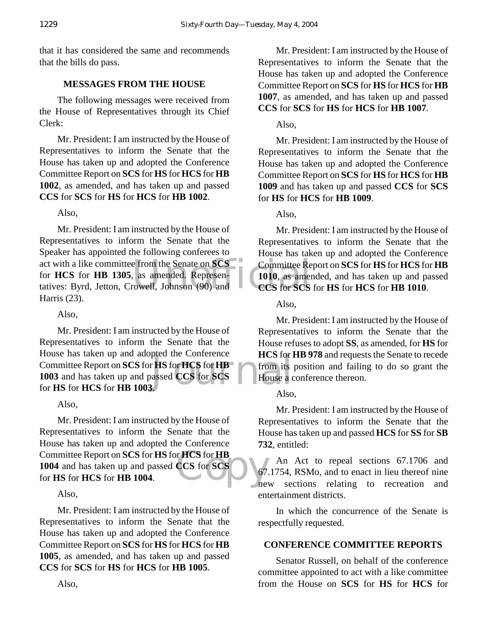that it has considered the same and recommends that the bills do pass.

#### **MESSAGES FROM THE HOUSE**

The following messages were received from the House of Representatives through its Chief Clerk:

Mr. President: I am instructed by the House of Representatives to inform the Senate that the House has taken up and adopted the Conference Committee Report on **SCS** for **HS** for **HCS** for **HB 1002**, as amended, and has taken up and passed **CCS** for **SCS** for **HS** for **HCS** for **HB 1002**.

Also,

act with a like committee from the Senate on **SCS** Committee Re<br>for **HCS** for **HB 1305**, as amended. Representatives: Byrd, Jetton, Crowell, Johnson (90) and CCS for SCS Mr. President: I am instructed by the House of Representatives to inform the Senate that the Speaker has appointed the following conferees to for **HCS** for **HB 1305**, as amended. Representatives: Byrd, Jetton, Crowell, Johnson (90) and Harris (23).

#### Also,

pled the Conference<br>
r **HS** for **HCS** for **HB**<br>
assed CCS for SCS<br>
House a c Mr. President: I am instructed by the House of Representatives to inform the Senate that the House has taken up and adopted the Conference Committee Report on **SCS** for **HS** for **HCS** for **HB 1003** and has taken up and passed **CCS** for **SCS** for **HS** for **HCS** for **HB 1003**.

#### Also,

r HCS for HB<br>CCS for SCS<br>ne Mr. President: I am instructed by the House of Representatives to inform the Senate that the House has taken up and adopted the Conference Committee Report on **SCS** for **HS** for **HCS** for **HB 1004** and has taken up and passed **CCS** for **SCS** for **HS** for **HCS** for **HB 1004**.

#### Also,

Mr. President: I am instructed by the House of Representatives to inform the Senate that the House has taken up and adopted the Conference Committee Report on **SCS** for **HS** for **HCS** for **HB 1005**, as amended, and has taken up and passed **CCS** for **SCS** for **HS** for **HCS** for **HB 1005**.

Mr. President: I am instructed by the House of Representatives to inform the Senate that the House has taken up and adopted the Conference Committee Report on **SCS** for **HS** for **HCS** for **HB 1007**, as amended, and has taken up and passed **CCS** for **SCS** for **HS** for **HCS** for **HB 1007**.

Also,

Mr. President: I am instructed by the House of Representatives to inform the Senate that the House has taken up and adopted the Conference Committee Report on **SCS** for **HS** for **HCS** for **HB 1009** and has taken up and passed **CCS** for **SCS** for **HS** for **HCS** for **HB 1009**.

Also,

Mr. President: I am instructed by the House of Representatives to inform the Senate that the House has taken up and adopted the Conference Committee Report on **SCS** for **HS** for **HCS** for **HB 1010**, as amended, and has taken up and passed **CCS** for **SCS** for **HS** for **HCS** for **HB 1010**.

Also,

Mr. President: I am instructed by the House of Representatives to inform the Senate that the House refuses to adopt **SS**, as amended, for **HS** for **HCS** for **HB 978** and requests the Senate to recede from its position and failing to do so grant the House a conference thereon.

#### Also,

Mr. President: I am instructed by the House of Representatives to inform the Senate that the House has taken up and passed **HCS** for **SS** for **SB 732**, entitled:

An Act to repeal sections 67.1706 and 67.1754, RSMo, and to enact in lieu thereof nine new sections relating to recreation and entertainment districts.

In which the concurrence of the Senate is respectfully requested.

#### **CONFERENCE COMMITTEE REPORTS**

Senator Russell, on behalf of the conference committee appointed to act with a like committee from the House on **SCS** for **HS** for **HCS** for

Also,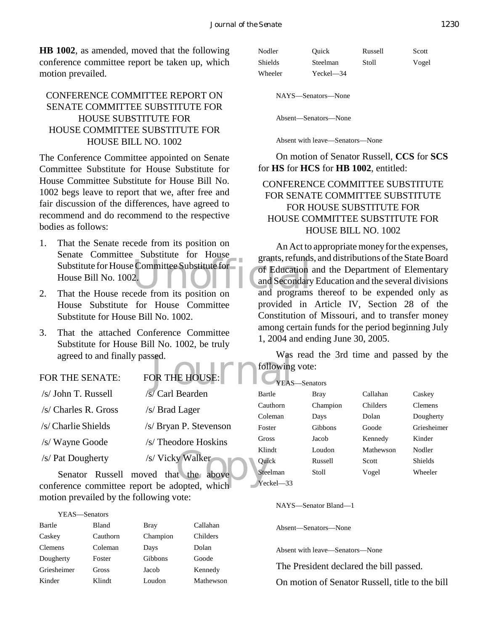**HB 1002**, as amended, moved that the following conference committee report be taken up, which motion prevailed.

#### CONFERENCE COMMITTEE REPORT ON SENATE COMMITTEE SUBSTITUTE FOR HOUSE SUBSTITUTE FOR HOUSE COMMITTEE SUBSTITUTE FOR HOUSE BILL NO. 1002

The Conference Committee appointed on Senate Committee Substitute for House Substitute for House Committee Substitute for House Bill No. 1002 begs leave to report that we, after free and fair discussion of the differences, have agreed to recommend and do recommend to the respective bodies as follows:

- Substitute for House Committee Substitute for<br>
House Bill No. 1002.<br>
That the House recede from its position on and programs 1. That the Senate recede from its position on Senate Committee Substitute for House House Bill No. 1002.
- 2. That the House recede from its position on House Substitute for House Committee Substitute for House Bill No. 1002.
- 3. That the attached Conference Committee Substitute for House Bill No. 1002, be truly agreed to and finally passed.

FOR THE HOUSE

#### FOR THE SENATE:

| /s/ John T. Russell                           | /s/ Carl Bearden                     | Bar         |
|-----------------------------------------------|--------------------------------------|-------------|
| /s/ Charles R. Gross                          | /s/ Brad Lager                       | Cau<br>Col  |
| /s/ Charlie Shields                           | /s/ Bryan P. Stevenson               | Fos         |
| /s/ Wayne Goode                               | /s/ Theodore Hoskins                 | Gro         |
| /s/ Pat Dougherty                             | /s/ Vicky Walker                     | Klin<br>Qui |
|                                               | Senator Russell moved that the above | Stee        |
| conference committee report be adopted, which |                                      | Yec         |

motion prevailed by the following vote:

| YEAS—Senators  |          |          |           |
|----------------|----------|----------|-----------|
| Bartle         | Bland    | Bray     | Callahan  |
| Caskey         | Cauthorn | Champion | Childers  |
| <b>Clemens</b> | Coleman  | Days     | Dolan     |
| Dougherty      | Foster   | Gibbons  | Goode     |
| Griesheimer    | Gross    | Jacob    | Kennedy   |
| Kinder         | Klindt   | Loudon   | Mathewson |

| Nodler  | Ouick     | Russell | Scott |
|---------|-----------|---------|-------|
| Shields | Steelman  | Stoll   | Vogel |
| Wheeler | Yeckel—34 |         |       |

NAYS—Senators—None

Absent—Senators—None

Absent with leave—Senators—None

On motion of Senator Russell, **CCS** for **SCS** for **HS** for **HCS** for **HB 1002**, entitled:

#### CONFERENCE COMMITTEE SUBSTITUTE FOR SENATE COMMITTEE SUBSTITUTE FOR HOUSE SUBSTITUTE FOR HOUSE COMMITTEE SUBSTITUTE FOR HOUSE BILL NO. 1002

An Act to appropriate money for the expenses, grants, refunds, and distributions of the State Board of Education and the Department of Elementary and Secondary Education and the several divisions and programs thereof to be expended only as provided in Article IV, Section 28 of the Constitution of Missouri, and to transfer money among certain funds for the period beginning July 1, 2004 and ending June 30, 2005.

Was read the 3rd time and passed by the following vote:

| YEAS-Senators |          |           |                |
|---------------|----------|-----------|----------------|
| Bartle        | Bray     | Callahan  | Caskey         |
| Cauthorn      | Champion | Childers  | <b>Clemens</b> |
| Coleman       | Days     | Dolan     | Dougherty      |
| Foster        | Gibbons  | Goode     | Griesheimer    |
| Gross         | Jacob    | Kennedy   | Kinder         |
| Klindt        | Loudon   | Mathewson | Nodler         |
| Ouick         | Russell  | Scott     | Shields        |
| Steelman      | Stoll    | Vogel     | Wheeler        |
| Yeckel—33     |          |           |                |

NAYS—Senator Bland—1

Absent—Senators—None

Absent with leave—Senators—None

The President declared the bill passed.

On motion of Senator Russell, title to the bill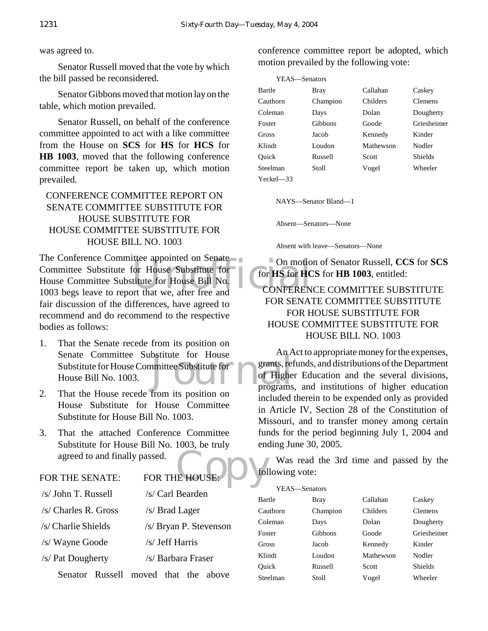#### was agreed to.

Senator Russell moved that the vote by which the bill passed be reconsidered.

Senator Gibbons moved that motion lay on the table, which motion prevailed.

Senator Russell, on behalf of the conference committee appointed to act with a like committee from the House on **SCS** for **HS** for **HCS** for **HB 1003**, moved that the following conference committee report be taken up, which motion prevailed.

#### CONFERENCE COMMITTEE REPORT ON SENATE COMMITTEE SUBSTITUTE FOR HOUSE SUBSTITUTE FOR HOUSE COMMITTEE SUBSTITUTE FOR HOUSE BILL NO. 1003

The appointed on Senate<br>
The Conduction House Substitute for<br>
titute for House Bill No.<br>
The CONFERENT CONFERENT CONFERENT CONFERENT CONFERENT CONFERENT CONFERENT CONFERENT CONFERENT CONFERENT CONFERENT CONFERENT CONFERENT The Conference Committee appointed on Senate Committee Substitute for House Substitute for House Committee Substitute for House Bill No. 1003 begs leave to report that we, after free and fair discussion of the differences, have agreed to recommend and do recommend to the respective bodies as follows:

- bstitute for House<br>
amittee Substitute for grants, ref<br>
of Highe<br>
programs 1. That the Senate recede from its position on Senate Committee Substitute for House Substitute for House Committee Substitute for House Bill No. 1003.
- 2. That the House recede from its position on House Substitute for House Committee Substitute for House Bill No. 1003.
- agreed to and finally passed.<br>FOR THE SENATE: FOR THE HOUSE:  $\begin{bmatrix} 1 & 0 & 0 \\ 0 & 0 & 0 \\ 0 & 0 & 0 \end{bmatrix}$ 3. That the attached Conference Committee Substitute for House Bill No. 1003, be truly agreed to and finally passed.

|                      | Senator Russell moved that the above |
|----------------------|--------------------------------------|
| /s/ Pat Dougherty    | /s/ Barbara Fraser                   |
| /s/ Wayne Goode      | /s/ Jeff Harris                      |
| /s/ Charlie Shields  | /s/ Bryan P. Stevenson               |
| /s/ Charles R. Gross | /s/ Brad Lager                       |
| /s/ John T. Russell  | /s/ Carl Bearden                     |

conference committee report be adopted, which motion prevailed by the following vote:

| YEAS—Senators  |          |           |                |
|----------------|----------|-----------|----------------|
| Bartle         | Bray     | Callahan  | Caskey         |
| Cauthorn       | Champion | Childers  | <b>Clemens</b> |
| Coleman        | Days     | Dolan     | Dougherty      |
| Foster         | Gibbons  | Goode     | Griesheimer    |
| Gross          | Jacob    | Kennedy   | Kinder         |
| Klindt         | Loudon   | Mathewson | Nodler         |
| Ouick          | Russell  | Scott     | <b>Shields</b> |
| Steelman       | Stoll    | Vogel     | Wheeler        |
| $Yeckel$ $-33$ |          |           |                |

NAYS—Senator Bland—1

Absent—Senators—None

Absent with leave—Senators—None

On motion of Senator Russell, **CCS** for **SCS** for **HS** for **HCS** for **HB 1003**, entitled:

#### CONFERENCE COMMITTEE SUBSTITUTE FOR SENATE COMMITTEE SUBSTITUTE FOR HOUSE SUBSTITUTE FOR HOUSE COMMITTEE SUBSTITUTE FOR HOUSE BILL NO. 1003

An Act to appropriate money for the expenses, grants, refunds, and distributions of the Department of Higher Education and the several divisions, programs, and institutions of higher education included therein to be expended only as provided in Article IV, Section 28 of the Constitution of Missouri, and to transfer money among certain funds for the period beginning July 1, 2004 and ending June 30, 2005.

Was read the 3rd time and passed by the following vote:

| YEAS-Senators |          |           |                |
|---------------|----------|-----------|----------------|
| Bartle        | Bray     | Callahan  | Caskey         |
| Cauthorn      | Champion | Childers  | <b>Clemens</b> |
| Coleman       | Days     | Dolan     | Dougherty      |
| Foster        | Gibbons  | Goode     | Griesheimer    |
| Gross         | Jacob    | Kennedy   | Kinder         |
| Klindt        | Loudon   | Mathewson | Nodler         |
| Ouick         | Russell  | Scott     | <b>Shields</b> |
| Steelman      | Stoll    | Vogel     | Wheeler        |
|               |          |           |                |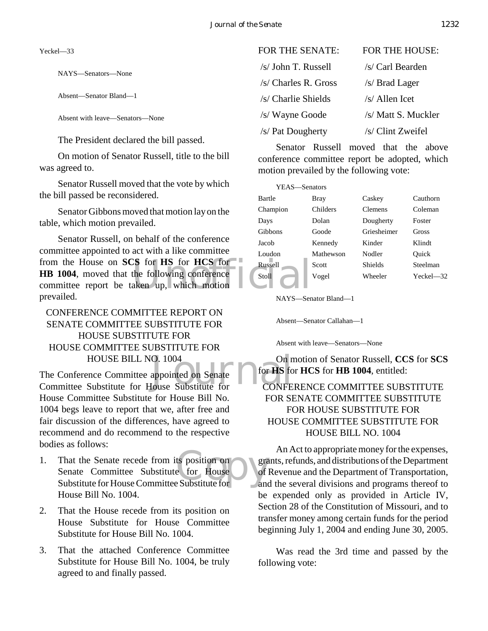Yeckel—33

NAYS—Senators—None

Absent—Senator Bland—1

Absent with leave—Senators—None

The President declared the bill passed.

On motion of Senator Russell, title to the bill was agreed to.

Senator Russell moved that the vote by which the bill passed be reconsidered.

Senator Gibbons moved that motion lay on the table, which motion prevailed.

CS for HS for HCS for Russell<br>the following conference<br>aken up, which motion Senator Russell, on behalf of the conference committee appointed to act with a like committee from the House on **SCS** for **HS** for **HCS** for **HB 1004**, moved that the following conference committee report be taken up, which motion prevailed.

#### CONFERENCE COMMITTEE REPORT ON SENATE COMMITTEE SUBSTITUTE FOR HOUSE SUBSTITUTE FOR HOUSE COMMITTEE SUBSTITUTE FOR HOUSE BILL NO. 1004

O. 1004 On n<br>appointed on Senate for for HS for<br>louse Substitute for CONFE The Conference Committee appointed on Senate Committee Substitute for House Substitute for House Committee Substitute for House Bill No. 1004 begs leave to report that we, after free and fair discussion of the differences, have agreed to recommend and do recommend to the respective bodies as follows:

- ts position on<br>
e for House<br>
Exubstitute for and 1. That the Senate recede from its position on Senate Committee Substitute for House Substitute for House Committee Substitute for House Bill No. 1004.
- 2. That the House recede from its position on House Substitute for House Committee Substitute for House Bill No. 1004.
- 3. That the attached Conference Committee Substitute for House Bill No. 1004, be truly agreed to and finally passed.

| FOR THE SENATE:      | <b>FOR THE HOUSE:</b> |
|----------------------|-----------------------|
| /s/ John T. Russell  | /s/ Carl Bearden      |
| /s/ Charles R. Gross | /s/ Brad Lager        |
| /s/ Charlie Shields  | $/s/$ Allen Icet      |
| /s/ Wayne Goode      | /s/ Matt S. Muckler   |
| /s/ Pat Dougherty    | /s/ Clint Zweifel     |

Senator Russell moved that the above conference committee report be adopted, which motion prevailed by the following vote:

| YEAS-Senators |           |                |             |
|---------------|-----------|----------------|-------------|
| Bartle        | Bray      | Caskey         | Cauthorn    |
| Champion      | Childers  | <b>Clemens</b> | Coleman     |
| Days          | Dolan     | Dougherty      | Foster      |
| Gibbons       | Goode     | Griesheimer    | Gross       |
| Jacob         | Kennedy   | Kinder         | Klindt      |
| Loudon        | Mathewson | Nodler         | Ouick       |
| Russell       | Scott     | Shields        | Steelman    |
| Stoll         | Vogel     | Wheeler        | $Yech = 32$ |

NAYS—Senator Bland—1

Absent—Senator Callahan—1

Absent with leave—Senators—None

On motion of Senator Russell, **CCS** for **SCS** for **HS** for **HCS** for **HB 1004**, entitled:

#### CONFERENCE COMMITTEE SUBSTITUTE FOR SENATE COMMITTEE SUBSTITUTE FOR HOUSE SUBSTITUTE FOR HOUSE COMMITTEE SUBSTITUTE FOR HOUSE BILL NO. 1004

An Act to appropriate money for the expenses, grants, refunds, and distributions of the Department of Revenue and the Department of Transportation, and the several divisions and programs thereof to be expended only as provided in Article IV, Section 28 of the Constitution of Missouri, and to transfer money among certain funds for the period beginning July 1, 2004 and ending June 30, 2005.

Was read the 3rd time and passed by the following vote: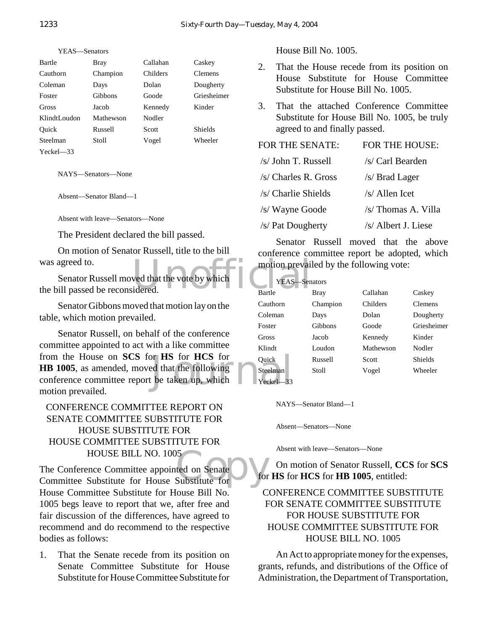| Bartle         | Bray           | Callahan | Caskey         |
|----------------|----------------|----------|----------------|
| Cauthorn       | Champion       | Childers | Clemens        |
| Coleman        | Days           | Dolan    | Dougherty      |
| Foster         | <b>Gibbons</b> | Goode    | Griesheimer    |
| Gross          | Jacob          | Kennedy  | Kinder         |
| KlindtLoudon   | Mathewson      | Nodler   |                |
| Ouick          | Russell        | Scott    | <b>Shields</b> |
| Steelman       | Stoll          | Vogel    | Wheeler        |
| $Yeckel$ $-33$ |                |          |                |

NAYS—Senators—None

Absent—Senator Bland—1

Absent with leave—Senators—None

The President declared the bill passed.

On motion of Senator Russell, title to the bill was agreed to.

wed that the vote by which<br>idered. Senator Russell moved that the vote by which the bill passed be reconsidered.

Senator Gibbons moved that motion lay on the table, which motion prevailed.

or **HS** for **HCS** for Quick<br>ed that the following Steelman<br>be taken up, which Yeckel—33 Senator Russell, on behalf of the conference committee appointed to act with a like committee from the House on **SCS** for **HS** for **HCS** for **HB 1005**, as amended, moved that the following conference committee report be taken up, which motion prevailed.

#### CONFERENCE COMMITTEE REPORT ON SENATE COMMITTEE SUBSTITUTE FOR HOUSE SUBSTITUTE FOR HOUSE COMMITTEE SUBSTITUTE FOR HOUSE BILL NO. 1005

15<br>
ted on Senate<br>
Substitute for the for The Conference Committee appointed on Senate Committee Substitute for House Substitute for House Committee Substitute for House Bill No. 1005 begs leave to report that we, after free and fair discussion of the differences, have agreed to recommend and do recommend to the respective bodies as follows:

1. That the Senate recede from its position on Senate Committee Substitute for House Substitute for House Committee Substitute for House Bill No. 1005.

- 2. That the House recede from its position on House Substitute for House Committee Substitute for House Bill No. 1005.
- 3. That the attached Conference Committee Substitute for House Bill No. 1005, be truly agreed to and finally passed.

| <b>FOR THE SENATE:</b> | FOR THE HOUSE:      |
|------------------------|---------------------|
| /s/ John T. Russell    | /s/ Carl Bearden    |
| /s/ Charles R. Gross   | /s/ Brad Lager      |
| /s/ Charlie Shields    | $/s/$ Allen Icet    |
| /s/ Wayne Goode        | /s/ Thomas A. Villa |
| /s/ Pat Dougherty      | /s/ Albert J. Liese |

Senator Russell moved that the above conference committee report be adopted, which motion prevailed by the following vote:

| YEAS-Senators |          |           |                |
|---------------|----------|-----------|----------------|
| <b>Bartle</b> | Bray     | Callahan  | Caskey         |
| Cauthorn      | Champion | Childers  | <b>Clemens</b> |
| Coleman       | Days     | Dolan     | Dougherty      |
| Foster        | Gibbons  | Goode     | Griesheimer    |
| Gross         | Jacob    | Kennedy   | Kinder         |
| Klindt        | Loudon   | Mathewson | Nodler         |
| Ouick         | Russell  | Scott     | Shields        |
| Steelman      | Stoll    | Vogel     | Wheeler        |
| Yeckel        |          |           |                |

NAYS—Senator Bland—1

Absent—Senators—None

Absent with leave—Senators—None

On motion of Senator Russell, **CCS** for **SCS** for **HS** for **HCS** for **HB 1005**, entitled:

#### CONFERENCE COMMITTEE SUBSTITUTE FOR SENATE COMMITTEE SUBSTITUTE FOR HOUSE SUBSTITUTE FOR HOUSE COMMITTEE SUBSTITUTE FOR HOUSE BILL NO. 1005

An Act to appropriate money for the expenses, grants, refunds, and distributions of the Office of Administration, the Department of Transportation,

YEAS—Senators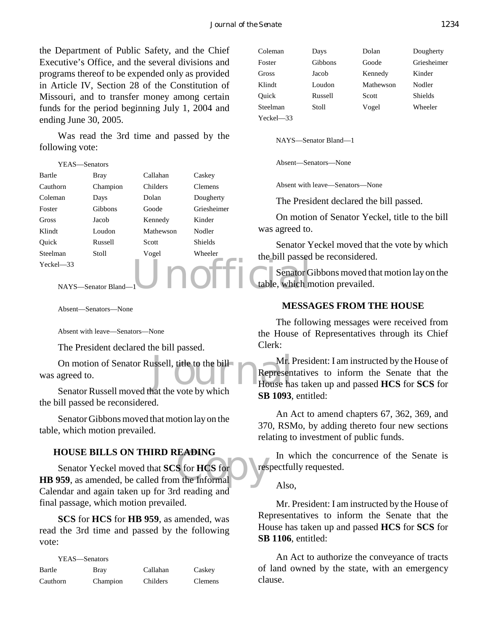the Department of Public Safety, and the Chief Executive's Office, and the several divisions and programs thereof to be expended only as provided in Article IV, Section 28 of the Constitution of Missouri, and to transfer money among certain funds for the period beginning July 1, 2004 and ending June 30, 2005.

Was read the 3rd time and passed by the following vote:

| YEAS—Senators |                      |           |                | Absent-Ser                  |
|---------------|----------------------|-----------|----------------|-----------------------------|
| Bartle        | <b>Bray</b>          | Callahan  | Caskey         |                             |
| Cauthorn      | Champion             | Childers  | <b>Clemens</b> | Absent with                 |
| Coleman       | Days                 | Dolan     | Dougherty      | The Presi                   |
| Foster        | Gibbons              | Goode     | Griesheimer    |                             |
| <b>Gross</b>  | Jacob                | Kennedy   | Kinder         | On motio                    |
| Klindt        | Loudon               | Mathewson | Nodler         | was agreed to.              |
| Ouick         | Russell              | Scott     | <b>Shields</b> | Senator Y                   |
| Steelman      | <b>Stoll</b>         | Vogel     | Wheeler        | the bill passed             |
| $Yeckel - 33$ | NAYS-Senator Bland-1 |           |                | Senator G<br>table, which n |

Absent—Senators—None

Absent with leave—Senators—None

The President declared the bill passed.

Mr. I<br>
Mr. I<br>
Represen<br>
House has the vote by which On motion of Senator Russell, title to the bill was agreed to.

Senator Russell moved that the vote by which the bill passed be reconsidered.

Senator Gibbons moved that motion lay on the table, which motion prevailed.

#### **HOUSE BILLS ON THIRD READING**

**HOUSE BILLS ON THIRD READING**<br>
Senator Yeckel moved that **SCS** for **HCS** for<br> **HB 959**, as amended, be called from the Informal Senator Yeckel moved that **SCS** for **HCS** for Calendar and again taken up for 3rd reading and final passage, which motion prevailed.

**SCS** for **HCS** for **HB 959**, as amended, was read the 3rd time and passed by the following vote:

| YEAS—Senators |          |          |                |
|---------------|----------|----------|----------------|
| Bartle        | Bray     | Callahan | Caskey         |
| Cauthorn      | Champion | Childers | <b>Clemens</b> |

| Coleman       | Days    | Dolan     | Dougherty      |
|---------------|---------|-----------|----------------|
| Foster        | Gibbons | Goode     | Griesheimer    |
| Gross         | Jacob   | Kennedy   | Kinder         |
| Klindt        | Loudon  | Mathewson | Nodler         |
| Ouick         | Russell | Scott     | <b>Shields</b> |
| Steelman      | Stoll   | Vogel     | Wheeler        |
| $Yeckel - 33$ |         |           |                |

NAYS—Senator Bland—1

Absent—Senators—None

Absent with leave—Senators—None

The President declared the bill passed.

On motion of Senator Yeckel, title to the bill was agreed to.

Senator Yeckel moved that the vote by which the bill passed be reconsidered.

Senator Gibbons moved that motion lay on the table, which motion prevailed.

#### **MESSAGES FROM THE HOUSE**

The following messages were received from the House of Representatives through its Chief Clerk:

Mr. President: I am instructed by the House of Representatives to inform the Senate that the House has taken up and passed **HCS** for **SCS** for **SB 1093**, entitled:

An Act to amend chapters 67, 362, 369, and 370, RSMo, by adding thereto four new sections relating to investment of public funds.

In which the concurrence of the Senate is respectfully requested.

#### Also,

Mr. President: I am instructed by the House of Representatives to inform the Senate that the House has taken up and passed **HCS** for **SCS** for **SB 1106**, entitled:

An Act to authorize the conveyance of tracts of land owned by the state, with an emergency clause.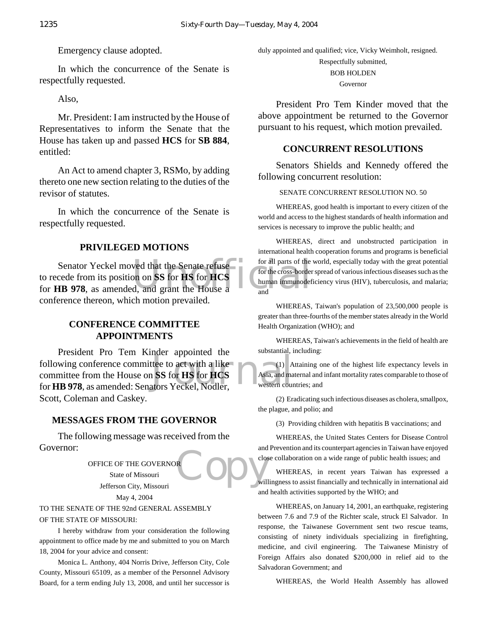Emergency clause adopted.

In which the concurrence of the Senate is respectfully requested.

Also,

Mr. President: I am instructed by the House of Representatives to inform the Senate that the House has taken up and passed **HCS** for **SB 884**, entitled:

An Act to amend chapter 3, RSMo, by adding thereto one new section relating to the duties of the revisor of statutes.

In which the concurrence of the Senate is respectfully requested.

#### **PRIVILEGED MOTIONS**

Senator Yeckel moved that the Senate refuse for all parts of the<br>to recede from its position on SS for HS for HCS<br>for HB 978, as amended, and grant the House and and Senator Yeckel moved that the Senate refuse to recede from its position on **SS** for **HS** for **HCS** conference thereon, which motion prevailed.

#### **CONFERENCE COMMITTEE APPOINTMENTS**

The text of the state of the state of the state of the state of the SS for HS for HCS<br>Asia, and matters Yeckel, Nodler, President Pro Tem Kinder appointed the following conference committee to act with a like committee from the House on **SS** for **HS** for **HCS** for **HB 978**, as amended: Senators Yeckel, Nodler, Scott, Coleman and Caskey.

#### **MESSAGES FROM THE GOVERNOR**

The following message was received from the Governor:

> OFFICE OF THE GOVERNOR State of Missouri Jefferson City, Missouri May 4, 2004

#### TO THE SENATE OF THE 92nd GENERAL ASSEMBLY OF THE STATE OF MISSOURI:

I hereby withdraw from your consideration the following appointment to office made by me and submitted to you on March 18, 2004 for your advice and consent:

Monica L. Anthony, 404 Norris Drive, Jefferson City, Cole County, Missouri 65109, as a member of the Personnel Advisory Board, for a term ending July 13, 2008, and until her successor is duly appointed and qualified; vice, Vicky Weimholt, resigned. Respectfully submitted, BOB HOLDEN

Governor

President Pro Tem Kinder moved that the above appointment be returned to the Governor pursuant to his request, which motion prevailed.

#### **CONCURRENT RESOLUTIONS**

Senators Shields and Kennedy offered the following concurrent resolution:

#### SENATE CONCURRENT RESOLUTION NO. 50

WHEREAS, good health is important to every citizen of the world and access to the highest standards of health information and services is necessary to improve the public health; and

WHEREAS, direct and unobstructed participation in international health cooperation forums and programs is beneficial for all parts of the world, especially today with the great potential for the cross-border spread of various infectious diseases such as the human immunodeficiency virus (HIV), tuberculosis, and malaria; and

WHEREAS, Taiwan's population of 23,500,000 people is greater than three-fourths of the member states already in the World Health Organization (WHO); and

WHEREAS, Taiwan's achievements in the field of health are substantial, including:

(1) Attaining one of the highest life expectancy levels in Asia, and maternal and infant mortality rates comparable to those of western countries; and

(2) Eradicating such infectious diseases as cholera, smallpox, the plague, and polio; and

(3) Providing children with hepatitis B vaccinations; and

WHEREAS, the United States Centers for Disease Control and Prevention and its counterpart agencies in Taiwan have enjoyed close collaboration on a wide range of public health issues; and

**Copy** WHEREAS, in recent years Taiwan has expressed a willingness to assist financially and technically in international aid and health activities supported by the WHO; and

> WHEREAS, on January 14, 2001, an earthquake, registering between 7.6 and 7.9 of the Richter scale, struck El Salvador. In response, the Taiwanese Government sent two rescue teams, consisting of ninety individuals specializing in firefighting, medicine, and civil engineering. The Taiwanese Ministry of Foreign Affairs also donated \$200,000 in relief aid to the Salvadoran Government; and

WHEREAS, the World Health Assembly has allowed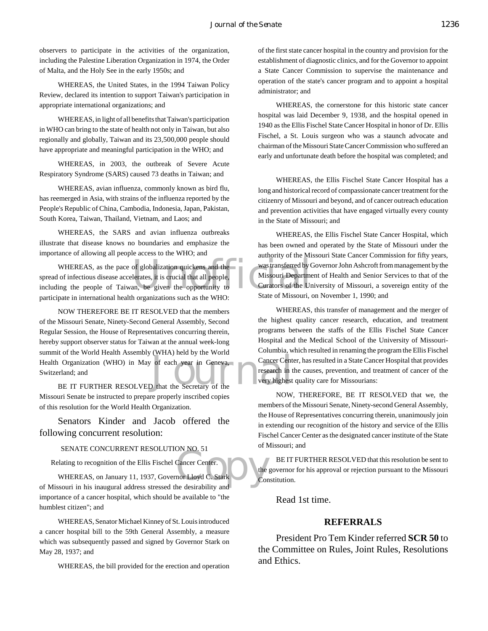observers to participate in the activities of the organization, including the Palestine Liberation Organization in 1974, the Order of Malta, and the Holy See in the early 1950s; and

WHEREAS, the United States, in the 1994 Taiwan Policy Review, declared its intention to support Taiwan's participation in appropriate international organizations; and

WHEREAS, in light of all benefits that Taiwan's participation in WHO can bring to the state of health not only in Taiwan, but also regionally and globally, Taiwan and its 23,500,000 people should have appropriate and meaningful participation in the WHO; and

WHEREAS, in 2003, the outbreak of Severe Acute Respiratory Syndrome (SARS) caused 73 deaths in Taiwan; and

WHEREAS, avian influenza, commonly known as bird flu, has reemerged in Asia, with strains of the influenza reported by the People's Republic of China, Cambodia, Indonesia, Japan, Pakistan, South Korea, Taiwan, Thailand, Vietnam, and Laos; and

WHEREAS, the SARS and avian influenza outbreaks illustrate that disease knows no boundaries and emphasize the importance of allowing all people access to the WHO; and

of globalization quickens and the<br>lerates, it is crucial that all people,<br>and the comportunity to the Curators of the United State of Missouri ( WHEREAS, as the pace of globalization quickens and the spread of infectious disease accelerates, it is crucial that all people, including the people of Taiwan, be given the opportunity to participate in international health organizations such as the WHO:

The US of the World Health Assembly (WHA) held by the World<br>
Deneval Cancer Center<br>
BE IT FURTHER RESOLVED that the Secretary of the Very highest NOW THEREFORE BE IT RESOLVED that the members of the Missouri Senate, Ninety-Second General Assembly, Second Regular Session, the House of Representatives concurring therein, hereby support observer status for Taiwan at the annual week-long summit of the World Health Assembly (WHA) held by the World Health Organization (WHO) in May of each year in Geneva, Switzerland; and

Missouri Senate be instructed to prepare properly inscribed copies of this resolution for the World Health Organization.

Senators Kinder and Jacob offered the following concurrent resolution:

#### SENATE CONCURRENT RESOLUTION NO. 51

Relating to recognition of the Ellis Fischel Cancer Center.

Cancer Center.<br>
nor Lloyd C. Stark Cor<br>
he desirability and WHEREAS, on January 11, 1937, Governor Lloyd C. Stark of Missouri in his inaugural address stressed the desirability and importance of a cancer hospital, which should be available to "the humblest citizen"; and

WHEREAS, Senator Michael Kinney of St. Louis introduced a cancer hospital bill to the 59th General Assembly, a measure which was subsequently passed and signed by Governor Stark on May 28, 1937; and

WHEREAS, the bill provided for the erection and operation

of the first state cancer hospital in the country and provision for the establishment of diagnostic clinics, and for the Governor to appoint a State Cancer Commission to supervise the maintenance and operation of the state's cancer program and to appoint a hospital administrator; and

WHEREAS, the cornerstone for this historic state cancer hospital was laid December 9, 1938, and the hospital opened in 1940 as the Ellis Fischel State Cancer Hospital in honor of Dr. Ellis Fischel, a St. Louis surgeon who was a staunch advocate and chairman of the Missouri State Cancer Commission who suffered an early and unfortunate death before the hospital was completed; and

WHEREAS, the Ellis Fischel State Cancer Hospital has a long and historical record of compassionate cancer treatment for the citizenry of Missouri and beyond, and of cancer outreach education and prevention activities that have engaged virtually every county in the State of Missouri; and

WHEREAS, the Ellis Fischel State Cancer Hospital, which has been owned and operated by the State of Missouri under the authority of the Missouri State Cancer Commission for fifty years, was transferred by Governor John Ashcroft from management by the Missouri Department of Health and Senior Services to that of the Curators of the University of Missouri, a sovereign entity of the State of Missouri, on November 1, 1990; and

WHEREAS, this transfer of management and the merger of the highest quality cancer research, education, and treatment programs between the staffs of the Ellis Fischel State Cancer Hospital and the Medical School of the University of Missouri-Columbia, which resulted in renaming the program the Ellis Fischel Cancer Center, has resulted in a State Cancer Hospital that provides research in the causes, prevention, and treatment of cancer of the very highest quality care for Missourians:

NOW, THEREFORE, BE IT RESOLVED that we, the members of the Missouri Senate, Ninety-second General Assembly, the House of Representatives concurring therein, unanimously join in extending our recognition of the history and service of the Ellis Fischel Cancer Center as the designated cancer institute of the State of Missouri; and

BE IT FURTHER RESOLVED that this resolution be sent to the governor for his approval or rejection pursuant to the Missouri Constitution.

Read 1st time.

#### **REFERRALS**

President Pro Tem Kinder referred **SCR 50** to the Committee on Rules, Joint Rules, Resolutions and Ethics.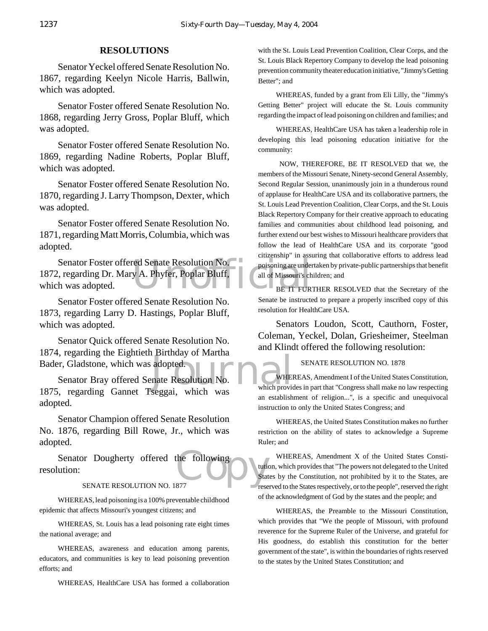#### **RESOLUTIONS**

Senator Yeckel offered Senate Resolution No. 1867, regarding Keelyn Nicole Harris, Ballwin, which was adopted.

Senator Foster offered Senate Resolution No. 1868, regarding Jerry Gross, Poplar Bluff, which was adopted.

Senator Foster offered Senate Resolution No. 1869, regarding Nadine Roberts, Poplar Bluff, which was adopted.

Senator Foster offered Senate Resolution No. 1870, regarding J. Larry Thompson, Dexter, which was adopted.

Senator Foster offered Senate Resolution No. 1871, regarding Matt Morris, Columbia, which was adopted.

Senator Foster offered Senate Resolution No. The poisoning are under<br>
the was adopted. 1872, regarding Dr. Mary A. Phyfer, Poplar Bluff, which was adopted.

Senator Foster offered Senate Resolution No. 1873, regarding Larry D. Hastings, Poplar Bluff, which was adopted.

Senator Quick offered Senate Resolution No. 1874, regarding the Eightieth Birthday of Martha Bader, Gladstone, which was adopted.

adopted.<br>
nate Resolution No.<br>
segggi which was which provides Senator Bray offered Senate Resolution No. 1875, regarding Gannet Tseggai, which was adopted.

Senator Champion offered Senate Resolution No. 1876, regarding Bill Rowe, Jr., which was adopted.

Senator Dougherty offered the following<br>
ution:<br>
SENATE RESOLUTION NO. 1877 resolution:

#### SENATE RESOLUTION NO. 1877

WHEREAS, lead poisoning is a 100% preventable childhood epidemic that affects Missouri's youngest citizens; and

WHEREAS, St. Louis has a lead poisoning rate eight times the national average; and

WHEREAS, awareness and education among parents, educators, and communities is key to lead poisoning prevention efforts; and

WHEREAS, HealthCare USA has formed a collaboration

with the St. Louis Lead Prevention Coalition, Clear Corps, and the St. Louis Black Repertory Company to develop the lead poisoning prevention community theater education initiative, "Jimmy's Getting Better"; and

WHEREAS, funded by a grant from Eli Lilly, the "Jimmy's Getting Better" project will educate the St. Louis community regarding the impact of lead poisoning on children and families; and

WHEREAS, HealthCare USA has taken a leadership role in developing this lead poisoning education initiative for the community:

 NOW, THEREFORE, BE IT RESOLVED that we, the members of the Missouri Senate, Ninety-second General Assembly, Second Regular Session, unanimously join in a thunderous round of applause for HealthCare USA and its collaborative partners, the St. Louis Lead Prevention Coalition, Clear Corps, and the St. Louis Black Repertory Company for their creative approach to educating families and communities about childhood lead poisoning, and further extend our best wishes to Missouri healthcare providers that follow the lead of HealthCare USA and its corporate "good citizenship" in assuring that collaborative efforts to address lead poisoning are undertaken by private-public partnerships that benefit all of Missouri's children; and

BE IT FURTHER RESOLVED that the Secretary of the Senate be instructed to prepare a properly inscribed copy of this resolution for HealthCare USA.

Senators Loudon, Scott, Cauthorn, Foster, Coleman, Yeckel, Dolan, Griesheimer, Steelman and Klindt offered the following resolution:

#### SENATE RESOLUTION NO. 1878

WHEREAS, Amendment I of the United States Constitution, which provides in part that "Congress shall make no law respecting an establishment of religion...", is a specific and unequivocal instruction to only the United States Congress; and

WHEREAS, the United States Constitution makes no further restriction on the ability of states to acknowledge a Supreme Ruler; and

WHEREAS, Amendment X of the United States Constitution, which provides that "The powers not delegated to the United States by the Constitution, not prohibited by it to the States, are reserved to the States respectively, or to the people", reserved the right of the acknowledgment of God by the states and the people; and

WHEREAS, the Preamble to the Missouri Constitution, which provides that "We the people of Missouri, with profound reverence for the Supreme Ruler of the Universe, and grateful for His goodness, do establish this constitution for the better government of the state", is within the boundaries of rights reserved to the states by the United States Constitution; and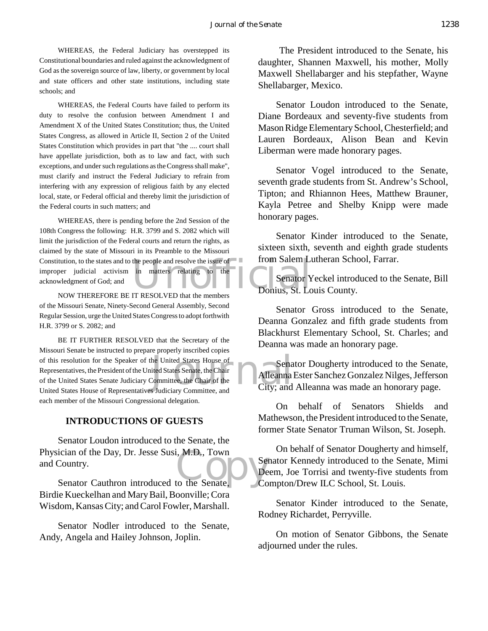WHEREAS, the Federal Judiciary has overstepped its Constitutional boundaries and ruled against the acknowledgment of God as the sovereign source of law, liberty, or government by local and state officers and other state institutions, including state schools; and

WHEREAS, the Federal Courts have failed to perform its duty to resolve the confusion between Amendment I and Amendment X of the United States Constitution; thus, the United States Congress, as allowed in Article II, Section 2 of the United States Constitution which provides in part that "the .... court shall have appellate jurisdiction, both as to law and fact, with such exceptions, and under such regulations as the Congress shall make", must clarify and instruct the Federal Judiciary to refrain from interfering with any expression of religious faith by any elected local, state, or Federal official and thereby limit the jurisdiction of the Federal courts in such matters; and

Constitution, to the states and to the people and resolve the issue of the intervalse improper judicial activism in matters relating to the acknowledgment of God; and NOW THEREFORE BE IT RESOLVED that the members DODI101S, WHEREAS, there is pending before the 2nd Session of the 108th Congress the following: H.R. 3799 and S. 2082 which will limit the jurisdiction of the Federal courts and return the rights, as claimed by the state of Missouri in its Preamble to the Missouri improper judicial activism in matters relating to the acknowledgment of God; and

NOW THEREFORE BE IT RESOLVED that the members of the Missouri Senate, Ninety-Second General Assembly, Second Regular Session, urge the United States Congress to adopt forthwith H.R. 3799 or S. 2082; and

of this resolution for the Speaker of the United States House of<br>
Representatives, the President of the United States Senate, the Chair<br>
of the United States Senate Judiciary Committee, the Chair of the<br>
United States Hous BE IT FURTHER RESOLVED that the Secretary of the Missouri Senate be instructed to prepare properly inscribed copies Representatives, the President of the United States Senate, the Chair of the United States Senate Judiciary Committee, the Chair of the United States House of Representatives Judiciary Committee, and each member of the Missouri Congressional delegation.

#### **INTRODUCTIONS OF GUESTS**

ician of the Day, Dr. Jesse Susi, M.D., Town<br>Country.<br>Senator Cauthron introduced to the Senate, Co Senator Loudon introduced to the Senate, the Physician of the Day, Dr. Jesse Susi, M.D., Town and Country.

Birdie Kueckelhan and Mary Bail, Boonville; Cora Wisdom, Kansas City; and Carol Fowler, Marshall.

Senator Nodler introduced to the Senate, Andy, Angela and Hailey Johnson, Joplin.

 The President introduced to the Senate, his daughter, Shannen Maxwell, his mother, Molly Maxwell Shellabarger and his stepfather, Wayne Shellabarger, Mexico.

Senator Loudon introduced to the Senate, Diane Bordeaux and seventy-five students from Mason Ridge Elementary School, Chesterfield; and Lauren Bordeaux, Alison Bean and Kevin Liberman were made honorary pages.

Senator Vogel introduced to the Senate, seventh grade students from St. Andrew's School, Tipton; and Rhiannon Hees, Matthew Brauner, Kayla Petree and Shelby Knipp were made honorary pages.

Senator Kinder introduced to the Senate, sixteen sixth, seventh and eighth grade students from Salem Lutheran School, Farrar.

Senator Yeckel introduced to the Senate, Bill Donius, St. Louis County.

Senator Gross introduced to the Senate, Deanna Gonzalez and fifth grade students from Blackhurst Elementary School, St. Charles; and Deanna was made an honorary page.

Senator Dougherty introduced to the Senate, Alleanna Ester Sanchez Gonzalez Nilges, Jefferson City; and Alleanna was made an honorary page.

On behalf of Senators Shields and Mathewson, the President introduced to the Senate, former State Senator Truman Wilson, St. Joseph.

On behalf of Senator Dougherty and himself, Senator Kennedy introduced to the Senate, Mimi Deem, Joe Torrisi and twenty-five students from Compton/Drew ILC School, St. Louis.

Senator Kinder introduced to the Senate, Rodney Richardet, Perryville.

On motion of Senator Gibbons, the Senate adjourned under the rules.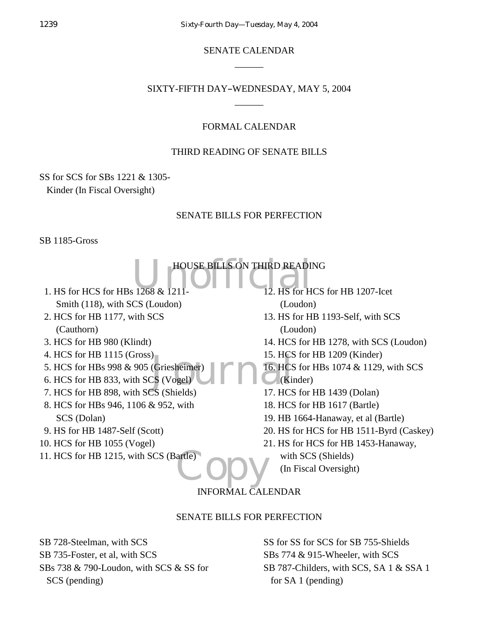SENATE CALENDAR  $\overline{\phantom{a}}$ 

#### SIXTY-FIFTH DAY-WEDNESDAY, MAY 5, 2004  $\overline{\phantom{a}}$

#### FORMAL CALENDAR

#### THIRD READING OF SENATE BILLS

SS for SCS for SBs 1221 & 1305-

Kinder (In Fiscal Oversight)

#### SENATE BILLS FOR PERFECTION

SB 1185-Gross

HOUSE BILLS ON THIRD READING<br>12. HS for HCS J. HCS<br>
(Griesheimer)<br>
CS (Vogel)<br>
TS (Shields)<br>
TS (Shields)<br>
17 HCS artle) opy 1. HS for HCS for HBs 1268 & 1211- Smith (118), with SCS (Loudon) 2. HCS for HB 1177, with SCS (Cauthorn) 3. HCS for HB 980 (Klindt) 4. HCS for HB 1115 (Gross) 5. HCS for HBs 998 & 905 (Griesheimer) 6. HCS for HB 833, with SCS (Vogel) 7. HCS for HB 898, with SCS (Shields) 8. HCS for HBs 946, 1106 & 952, with SCS (Dolan) 9. HS for HB 1487-Self (Scott) 10. HCS for HB 1055 (Vogel) 11. HCS for HB 1215, with SCS (Bartle) 12. HS for HCS for HB 1207-Icet (Loudon) 13. HS for HB 1193-Self, with SCS (Loudon) 14. HCS for HB 1278, with SCS (Loudon) 15. HCS for HB 1209 (Kinder) 16. HCS for HBs 1074 & 1129, with SCS (Kinder) 17. HCS for HB 1439 (Dolan) 18. HCS for HB 1617 (Bartle) 19. HB 1664-Hanaway, et al (Bartle) 20. HS for HCS for HB 1511-Byrd (Caskey) 21. HS for HCS for HB 1453-Hanaway, with SCS (Shields) (In Fiscal Oversight)

### INFORMAL CALENDAR

#### SENATE BILLS FOR PERFECTION

SB 728-Steelman, with SCS SB 735-Foster, et al, with SCS SBs 738 & 790-Loudon, with SCS & SS for SCS (pending)

SS for SS for SCS for SB 755-Shields SBs 774 & 915-Wheeler, with SCS SB 787-Childers, with SCS, SA 1 & SSA 1 for SA 1 (pending)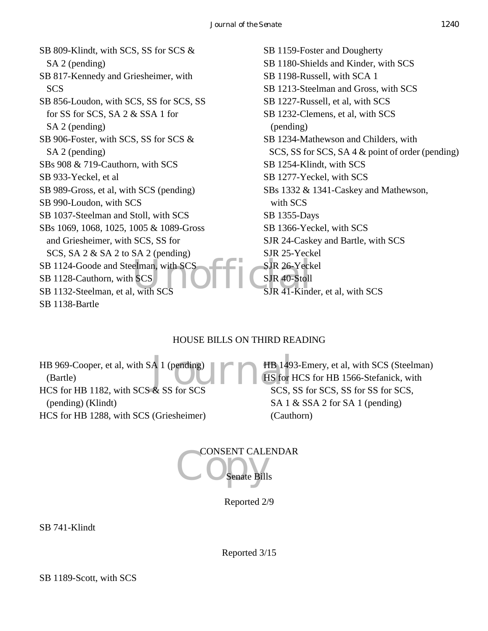elman, with SCS<br>
SCS<br>
with SCS<br>
Unit of the SUR 40-Stoll<br>
SUR 41-Kind SB 809-Klindt, with SCS, SS for SCS & SA 2 (pending) SB 817-Kennedy and Griesheimer, with SCS SB 856-Loudon, with SCS, SS for SCS, SS for SS for SCS, SA 2 & SSA 1 for SA 2 (pending) SB 906-Foster, with SCS, SS for SCS & SA 2 (pending) SBs 908 & 719-Cauthorn, with SCS SB 933-Yeckel, et al SB 989-Gross, et al, with SCS (pending) SB 990-Loudon, with SCS SB 1037-Steelman and Stoll, with SCS SBs 1069, 1068, 1025, 1005 & 1089-Gross and Griesheimer, with SCS, SS for SCS, SA 2 & SA 2 to SA 2 (pending) SB 1124-Goode and Steelman, with SCS SB 1128-Cauthorn, with SCS SB 1132-Steelman, et al, with SCS SB 1138-Bartle

SB 1159-Foster and Dougherty SB 1180-Shields and Kinder, with SCS SB 1198-Russell, with SCA 1 SB 1213-Steelman and Gross, with SCS SB 1227-Russell, et al, with SCS SB 1232-Clemens, et al, with SCS (pending) SB 1234-Mathewson and Childers, with SCS, SS for SCS, SA 4 & point of order (pending) SB 1254-Klindt, with SCS SB 1277-Yeckel, with SCS SBs 1332 & 1341-Caskey and Mathewson, with SCS SB 1355-Days SB 1366-Yeckel, with SCS SJR 24-Caskey and Bartle, with SCS SJR 25-Yeckel SJR 26-Yeckel SJR 40-Stoll SJR 41-Kinder, et al, with SCS

### HOUSE BILLS ON THIRD READING

 $\begin{array}{c} \text{A} \end{array}$  I (pending)<br>& SS for SCS SCS SCS SCS S HB 969-Cooper, et al, with SA 1 (pending) (Bartle) HCS for HB 1182, with SCS & SS for SCS (pending) (Klindt) HCS for HB 1288, with SCS (Griesheimer)

HB 1493-Emery, et al, with SCS (Steelman) HS for HCS for HB 1566-Stefanick, with SCS, SS for SCS, SS for SS for SCS, SA 1 & SSA 2 for SA 1 (pending) (Cauthorn)

CONSENT CALENDAR ate Bills

Reported 2/9

SB 741-Klindt

Reported 3/15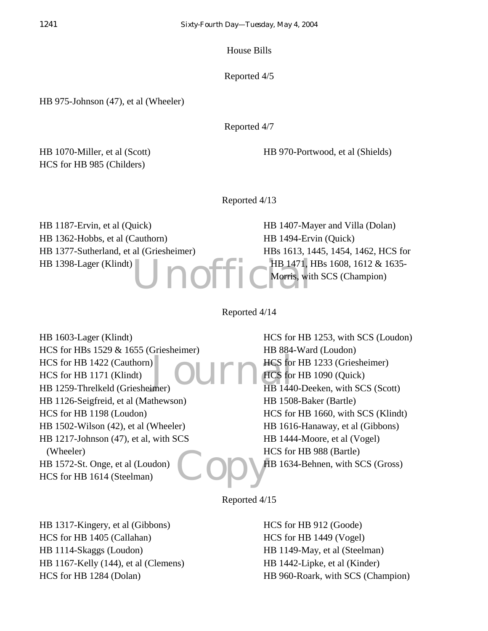House Bills

Reported 4/5

HB 975-Johnson (47), et al (Wheeler)

Reported 4/7

HB 1070-Miller, et al (Scott) HCS for HB 985 (Childers)

HB 970-Portwood, et al (Shields)

Reported 4/13

HB 1187-Ervin, et al (Quick) HB 1362-Hobbs, et al (Cauthorn) HB 1377-Sutherland, et al (Griesheimer) HB 1398-Lager (Klindt)

Unoffic Morris, wit HB 1407-Mayer and Villa (Dolan) HB 1494-Ervin (Quick) HBs 1613, 1445, 1454, 1462, HCS for HB 1471, HBs 1608, 1612 & 1635-Morris, with SCS (Champion)

Reported 4/14

 $\sum_{\text{inner}}$ **Copy** HB 1603-Lager (Klindt) HCS for HBs 1529 & 1655 (Griesheimer) HCS for HB 1422 (Cauthorn) HCS for HB 1171 (Klindt) HB 1259-Threlkeld (Griesheimer) HB 1126-Seigfreid, et al (Mathewson) HCS for HB 1198 (Loudon) HB 1502-Wilson (42), et al (Wheeler) HB 1217-Johnson (47), et al, with SCS (Wheeler) HB 1572-St. Onge, et al (Loudon) HCS for HB 1614 (Steelman)

HCS for HB 1253, with SCS (Loudon) HB 884-Ward (Loudon) HCS for HB 1233 (Griesheimer) HCS for HB 1090 (Quick) HB 1440-Deeken, with SCS (Scott) HB 1508-Baker (Bartle) HCS for HB 1660, with SCS (Klindt) HB 1616-Hanaway, et al (Gibbons) HB 1444-Moore, et al (Vogel) HCS for HB 988 (Bartle) HB 1634-Behnen, with SCS (Gross)

Reported 4/15

HB 1317-Kingery, et al (Gibbons) HCS for HB 1405 (Callahan) HB 1114-Skaggs (Loudon) HB 1167-Kelly (144), et al (Clemens) HCS for HB 1284 (Dolan)

HCS for HB 912 (Goode) HCS for HB 1449 (Vogel) HB 1149-May, et al (Steelman) HB 1442-Lipke, et al (Kinder) HB 960-Roark, with SCS (Champion)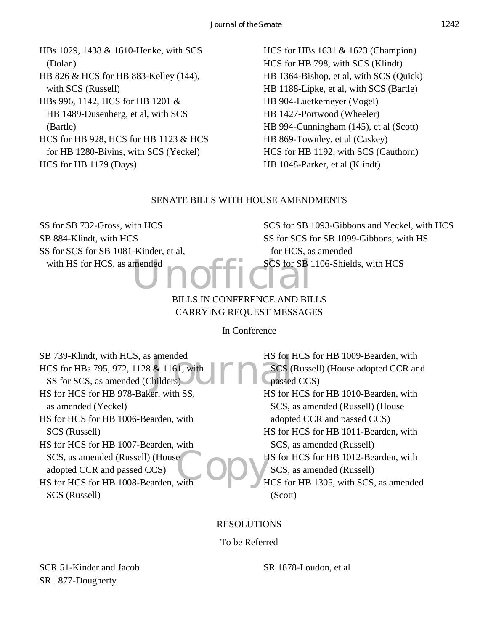HBs 1029, 1438 & 1610-Henke, with SCS (Dolan) HB 826 & HCS for HB 883-Kelley (144), with SCS (Russell) HBs 996, 1142, HCS for HB 1201 & HB 1489-Dusenberg, et al, with SCS (Bartle) HCS for HB 928, HCS for HB 1123 & HCS for HB 1280-Bivins, with SCS (Yeckel) HCS for HB 1179 (Days)

HCS for HBs 1631 & 1623 (Champion) HCS for HB 798, with SCS (Klindt) HB 1364-Bishop, et al, with SCS (Quick) HB 1188-Lipke, et al, with SCS (Bartle) HB 904-Luetkemeyer (Vogel) HB 1427-Portwood (Wheeler) HB 994-Cunningham (145), et al (Scott) HB 869-Townley, et al (Caskey) HCS for HB 1192, with SCS (Cauthorn) HB 1048-Parker, et al (Klindt)

#### SENATE BILLS WITH HOUSE AMENDMENTS

SS for SB 732-Gross, with HCS SB 884-Klindt, with HCS SS for SCS for SB 1081-Kinder, et al, with HS for HCS, as amended

SCS for SB 1093-Gibbons and Yeckel, with HCS SS for SCS for SB 1099-Gibbons, with HS for HCS, as amended SCS for SB 1106-Shields, with HCS

### mended<br> **Unofficial** BILLS IN CONFERENCE AND BILLS CARRYING REQUEST MESSAGES

In Conference

amended<br>
& 1161, with<br>
Thilders
<br>
Manuscription<br>
This can be the contracted by the contracted by the contracted by the contracted by the contracted by the contracted by the contracted by the contracted by the contracted by **Copy** SB 739-Klindt, with HCS, as amended HCS for HBs 795, 972, 1128 & 1161, with SS for SCS, as amended (Childers) HS for HCS for HB 978-Baker, with SS, as amended (Yeckel) HS for HCS for HB 1006-Bearden, with SCS (Russell) HS for HCS for HB 1007-Bearden, with SCS, as amended (Russell) (House adopted CCR and passed CCS) HS for HCS for HB 1008-Bearden, with SCS (Russell) HS for HCS for HB 1009-Bearden, with **SCS** (Russell) (House adopted CCR and passed CCS) HS for HCS for HB 1010-Bearden, with SCS, as amended (Russell) (House adopted CCR and passed CCS) HS for HCS for HB 1011-Bearden, with SCS, as amended (Russell) HS for HCS for HB 1012-Bearden, with SCS, as amended (Russell) HCS for HB 1305, with SCS, as amended (Scott)

RESOLUTIONS

To be Referred

SCR 51-Kinder and Jacob SR 1877-Dougherty

SR 1878-Loudon, et al